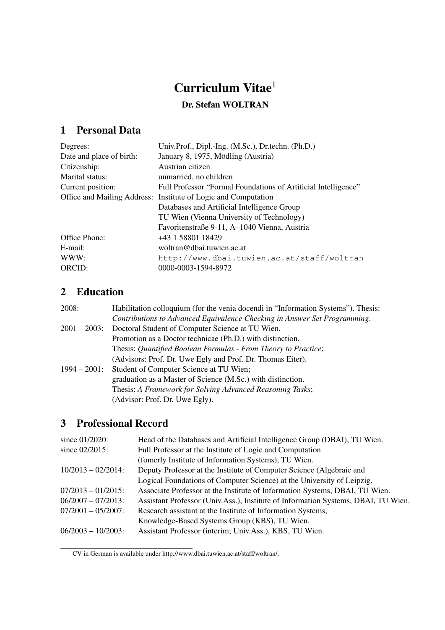# Curriculum Vitae<sup>1</sup>

### Dr. Stefan WOLTRAN

# 1 Personal Data

| Degrees:                 | Univ.Prof., Dipl.-Ing. (M.Sc.), Dr.techn. (Ph.D.)              |
|--------------------------|----------------------------------------------------------------|
| Date and place of birth: | January 8, 1975, Mödling (Austria)                             |
| Citizenship:             | Austrian citizen                                               |
| Marital status:          | unmarried, no children                                         |
| Current position:        | Full Professor "Formal Foundations of Artificial Intelligence" |
|                          | Office and Mailing Address: Institute of Logic and Computation |
|                          | Databases and Artificial Intelligence Group                    |
|                          | TU Wien (Vienna University of Technology)                      |
|                          | Favoritenstraße 9-11, A-1040 Vienna, Austria                   |
| Office Phone:            | +43 1 58801 18429                                              |
| E-mail:                  | woltran@dbai.tuwien.ac.at                                      |
| WWW:                     | http://www.dbai.tuwien.ac.at/staff/woltran                     |
| ORCID:                   | 0000-0003-1594-8972                                            |

## 2 Education

| 2008:           | Habilitation colloquium (for the venia docendi in "Information Systems"). Thesis: |
|-----------------|-----------------------------------------------------------------------------------|
|                 | Contributions to Advanced Equivalence Checking in Answer Set Programming.         |
| $2001 - 2003$ : | Doctoral Student of Computer Science at TU Wien.                                  |
|                 | Promotion as a Doctor technicae (Ph.D.) with distinction.                         |
|                 | Thesis: Quantified Boolean Formulas - From Theory to Practice;                    |
|                 | (Advisors: Prof. Dr. Uwe Egly and Prof. Dr. Thomas Eiter).                        |
| $1994 - 2001$ : | Student of Computer Science at TU Wien;                                           |
|                 | graduation as a Master of Science (M.Sc.) with distinction.                       |
|                 | Thesis: A Framework for Solving Advanced Reasoning Tasks;                         |
|                 | (Advisor: Prof. Dr. Uwe Egly).                                                    |

# 3 Professional Record

| since 01/2020:        | Head of the Databases and Artificial Intelligence Group (DBAI), TU Wien.          |
|-----------------------|-----------------------------------------------------------------------------------|
| since 02/2015:        | Full Professor at the Institute of Logic and Computation                          |
|                       | (fomerly Institute of Information Systems), TU Wien.                              |
| $10/2013 - 02/2014$ : | Deputy Professor at the Institute of Computer Science (Algebraic and              |
|                       | Logical Foundations of Computer Science) at the University of Leipzig.            |
| $07/2013 - 01/2015$ : | Associate Professor at the Institute of Information Systems, DBAI, TU Wien.       |
| $06/2007 - 07/2013$ : | Assistant Professor (Univ.Ass.), Institute of Information Systems, DBAI, TU Wien. |
| $07/2001 - 05/2007$ : | Research assistant at the Institute of Information Systems,                       |
|                       | Knowledge-Based Systems Group (KBS), TU Wien.                                     |
| $06/2003 - 10/2003$ : | Assistant Professor (interim; Univ.Ass.), KBS, TU Wien.                           |
|                       |                                                                                   |

<sup>1</sup>CV in German is available under http://www.dbai.tuwien.ac.at/staff/woltran/.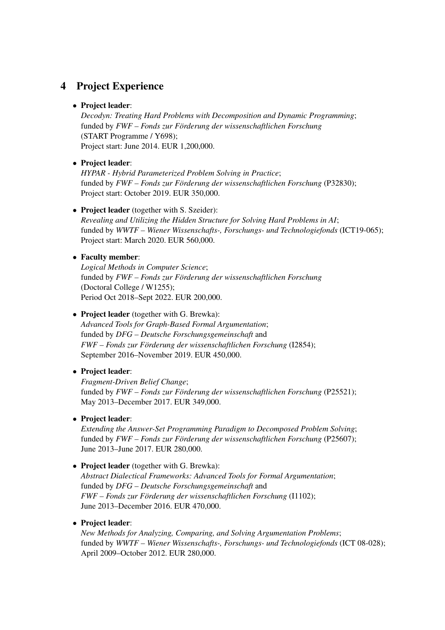### 4 Project Experience

### • Project leader:

*Decodyn: Treating Hard Problems with Decomposition and Dynamic Programming*; funded by *FWF – Fonds zur Förderung der wissenschaftlichen Forschung* (START Programme / Y698); Project start: June 2014. EUR 1,200,000.

### • Project leader:

*HYPAR - Hybrid Parameterized Problem Solving in Practice*; funded by *FWF – Fonds zur Förderung der wissenschaftlichen Forschung* (P32830); Project start: October 2019. EUR 350,000.

### • Project leader (together with S. Szeider):

*Revealing and Utilizing the Hidden Structure for Solving Hard Problems in AI*; funded by *WWTF – Wiener Wissenschafts-, Forschungs- und Technologiefonds* (ICT19-065); Project start: March 2020. EUR 560,000.

### • Faculty member:

*Logical Methods in Computer Science*; funded by *FWF – Fonds zur Förderung der wissenschaftlichen Forschung* (Doctoral College / W1255); Period Oct 2018–Sept 2022. EUR 200,000.

### • Project leader (together with G. Brewka):

*Advanced Tools for Graph-Based Formal Argumentation*; funded by *DFG – Deutsche Forschungsgemeinschaft* and *FWF – Fonds zur Förderung der wissenschaftlichen Forschung* (I2854); September 2016–November 2019. EUR 450,000.

### • Project leader:

*Fragment-Driven Belief Change*; funded by *FWF – Fonds zur Förderung der wissenschaftlichen Forschung* (P25521); May 2013–December 2017. EUR 349,000.

### • Project leader:

*Extending the Answer-Set Programming Paradigm to Decomposed Problem Solving*; funded by *FWF – Fonds zur Förderung der wissenschaftlichen Forschung* (P25607); June 2013–June 2017. EUR 280,000.

### • Project leader (together with G. Brewka):

*Abstract Dialectical Frameworks: Advanced Tools for Formal Argumentation*; funded by *DFG – Deutsche Forschungsgemeinschaft* and *FWF – Fonds zur Förderung der wissenschaftlichen Forschung* (I1102); June 2013–December 2016. EUR 470,000.

### • Project leader:

*New Methods for Analyzing, Comparing, and Solving Argumentation Problems*; funded by *WWTF – Wiener Wissenschafts-, Forschungs- und Technologiefonds* (ICT 08-028); April 2009–October 2012. EUR 280,000.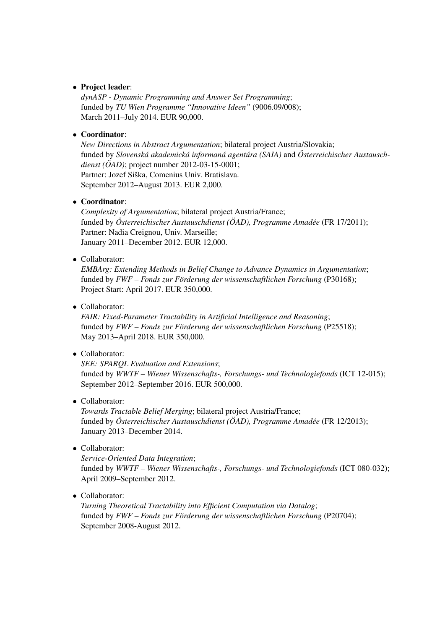### • Project leader:

*dynASP - Dynamic Programming and Answer Set Programming*; funded by *TU Wien Programme "Innovative Ideen"* (9006.09/008); March 2011–July 2014. EUR 90,000.

### • Coordinator:

*New Directions in Abstract Argumentation*; bilateral project Austria/Slovakia; funded by *Slovenska akademick ´ a informan ´ a agent ´ ura (SAIA) ´* and *Osterreichischer Austausch- ¨ dienst (ÖAD)*; project number 2012-03-15-0001; Partner: Jozef Siška, Comenius Univ. Bratislava. September 2012–August 2013. EUR 2,000.

### • Coordinator:

*Complexity of Argumentation*; bilateral project Austria/France; funded by *Österreichischer Austauschdienst (ÖAD), Programme Amadée (FR 17/2011);* Partner: Nadia Creignou, Univ. Marseille; January 2011–December 2012. EUR 12,000.

### • Collaborator:

*EMBArg: Extending Methods in Belief Change to Advance Dynamics in Argumentation*; funded by *FWF – Fonds zur Förderung der wissenschaftlichen Forschung* (P30168); Project Start: April 2017. EUR 350,000.

### • Collaborator:

*FAIR: Fixed-Parameter Tractability in Artificial Intelligence and Reasoning*; funded by *FWF – Fonds zur Förderung der wissenschaftlichen Forschung* (P25518); May 2013–April 2018. EUR 350,000.

### • Collaborator:

*SEE: SPARQL Evaluation and Extensions*; funded by *WWTF – Wiener Wissenschafts-, Forschungs- und Technologiefonds* (ICT 12-015); September 2012–September 2016. EUR 500,000.

• Collaborator:

*Towards Tractable Belief Merging*; bilateral project Austria/France; funded by Österreichischer Austauschdienst (ÖAD), Programme Amadée (FR 12/2013); January 2013–December 2014.

• Collaborator:

*Service-Oriented Data Integration*; funded by *WWTF – Wiener Wissenschafts-, Forschungs- und Technologiefonds* (ICT 080-032); April 2009–September 2012.

### • Collaborator:

*Turning Theoretical Tractability into Efficient Computation via Datalog*; funded by *FWF – Fonds zur Förderung der wissenschaftlichen Forschung* (P20704); September 2008-August 2012.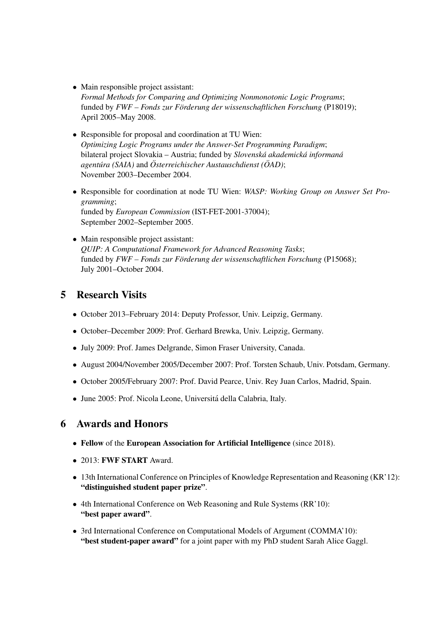- Main responsible project assistant: *Formal Methods for Comparing and Optimizing Nonmonotonic Logic Programs*; funded by *FWF – Fonds zur Förderung der wissenschaftlichen Forschung* (P18019); April 2005–May 2008.
- Responsible for proposal and coordination at TU Wien: *Optimizing Logic Programs under the Answer-Set Programming Paradigm*; bilateral project Slovakia – Austria; funded by *Slovenská akademická informaná agentúra* (SAIA) and *Österreichischer Austauschdienst* ( $\ddot{O}AD$ ); November 2003–December 2004.
- Responsible for coordination at node TU Wien: *WASP: Working Group on Answer Set Programming*; funded by *European Commission* (IST-FET-2001-37004); September 2002–September 2005.
- Main responsible project assistant: *QUIP: A Computational Framework for Advanced Reasoning Tasks*; funded by  $FWF$  – Fonds zur Förderung der wissenschaftlichen Forschung (P15068); July 2001–October 2004.

### 5 Research Visits

- October 2013–February 2014: Deputy Professor, Univ. Leipzig, Germany.
- October–December 2009: Prof. Gerhard Brewka, Univ. Leipzig, Germany.
- July 2009: Prof. James Delgrande, Simon Fraser University, Canada.
- August 2004/November 2005/December 2007: Prof. Torsten Schaub, Univ. Potsdam, Germany.
- October 2005/February 2007: Prof. David Pearce, Univ. Rey Juan Carlos, Madrid, Spain.
- June 2005: Prof. Nicola Leone, Universita della Calabria, Italy. ´

### 6 Awards and Honors

- Fellow of the European Association for Artificial Intelligence (since 2018).
- 2013: **FWF START** Award.
- 13th International Conference on Principles of Knowledge Representation and Reasoning (KR'12): "distinguished student paper prize".
- 4th International Conference on Web Reasoning and Rule Systems (RR'10): "best paper award".
- 3rd International Conference on Computational Models of Argument (COMMA'10): "best student-paper award" for a joint paper with my PhD student Sarah Alice Gaggl.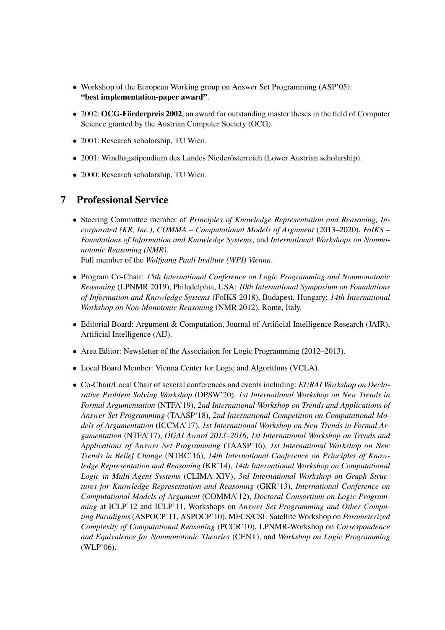- Workshop of the European Working group on Answer Set Programming (ASP'05): "best implementation-paper award".
- 2002: OCG-Förderpreis 2002, an award for outstanding master theses in the field of Computer Science granted by the Austrian Computer Society (OCG).
- 2001: Research scholarship, TU Wien.
- 2001: Windhagstipendium des Landes Niederösterreich (Lower Austrian scholarship).
- 2000: Research scholarship, TU Wien.

### 7 Professional Service

- Steering Committee member of *Principles of Knowledge Representation and Reasoning, Incorporated (KR, Inc.)*, *COMMA – Computational Models of Argument* (2013–2020), *FoIKS – Foundations of Information and Knowledge Systems*, and *International Workshops on Nonmonotonic Reasoning (NMR)*. Full member of the *Wolfgang Pauli Institute (WPI) Vienna*.
- Program Co-Chair: *15th International Conference on Logic Programming and Nonmonotonic Reasoning* (LPNMR 2019), Philadelphia, USA; *10th International Symposium on Foundations of Information and Knowledge Systems* (FoIKS 2018), Budapest, Hungary; *14th International Workshop on Non-Monotonic Reasoning* (NMR 2012), Rome, Italy.
- Editorial Board: Argument & Computation, Journal of Artificial Intelligence Research (JAIR), Artificial Intelligence (AIJ).
- Area Editor: Newsletter of the Association for Logic Programming (2012–2013).
- Local Board Member: Vienna Center for Logic and Algorithms (VCLA).
- Co-Chair/Local Chair of several conferences and events including: *EURAI Workshop on Declarative Problem Solving Workshop* (DPSW'20), *1st International Workshop on New Trends in Formal Argumentation* (NTFA'19), *2nd International Workshop on Trends and Applications of Answer Set Programming* (TAASP'18), *2nd International Competition on Computational Models of Argumentation* (ICCMA'17), *1st International Workshop on New Trends in Formal Argumentation* (NTFA'17), *OGAI Award 2013–2016 ¨* , *1st International Workshop on Trends and Applications of Answer Set Programming* (TAASP'16), *1st International Workshop on New Trends in Belief Change* (NTBC'16), *14th International Conference on Principles of Knowledge Representation and Reasoning* (KR'14), *14th International Workshop on Computational Logic in Multi-Agent Systems* (CLIMA XIV), *3rd International Workshop on Graph Structures for Knowledge Representation and Reasoning* (GKR'13), *International Conference on Computational Models of Argument* (COMMA'12), *Doctoral Consortium on Logic Programming* at ICLP'12 and ICLP'11, Workshops on *Answer Set Programming and Other Computing Paradigms* (ASPOCP'11, ASPOCP'10), MFCS/CSL Satellite Workshop on *Parameterized Complexity of Computational Reasoning* (PCCR'10), LPNMR-Workshop on *Correspondence and Equivalence for Nonmonotonic Theories* (CENT), and *Workshop on Logic Programming* (WLP'06).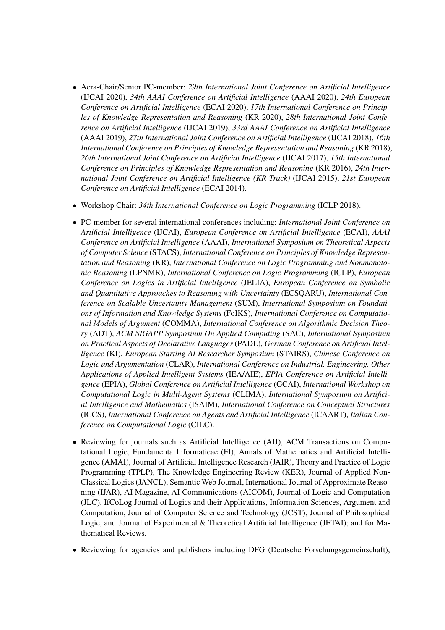- Aera-Chair/Senior PC-member: *29th International Joint Conference on Artificial Intelligence* (IJCAI 2020), *34th AAAI Conference on Artificial Intelligence* (AAAI 2020), *24th European Conference on Artificial Intelligence* (ECAI 2020), *17th International Conference on Principles of Knowledge Representation and Reasoning* (KR 2020), *28th International Joint Conference on Artificial Intelligence* (IJCAI 2019), *33rd AAAI Conference on Artificial Intelligence* (AAAI 2019), *27th International Joint Conference on Artificial Intelligence* (IJCAI 2018), *16th International Conference on Principles of Knowledge Representation and Reasoning* (KR 2018), *26th International Joint Conference on Artificial Intelligence* (IJCAI 2017), *15th International Conference on Principles of Knowledge Representation and Reasoning* (KR 2016), *24th International Joint Conference on Artificial Intelligence (KR Track)* (IJCAI 2015), *21st European Conference on Artificial Intelligence* (ECAI 2014).
- Workshop Chair: *34th International Conference on Logic Programming* (ICLP 2018).
- PC-member for several international conferences including: *International Joint Conference on Artificial Intelligence* (IJCAI), *European Conference on Artificial Intelligence* (ECAI), *AAAI Conference on Artificial Intelligence* (AAAI), *International Symposium on Theoretical Aspects of Computer Science* (STACS), *International Conference on Principles of Knowledge Representation and Reasoning* (KR), *International Conference on Logic Programming and Nonmonotonic Reasoning* (LPNMR), *International Conference on Logic Programming* (ICLP), *European Conference on Logics in Artificial Intelligence* (JELIA), *European Conference on Symbolic and Quantitative Approaches to Reasoning with Uncertainty* (ECSQARU), *International Conference on Scalable Uncertainty Management* (SUM), *International Symposium on Foundations of Information and Knowledge Systems* (FoIKS), *International Conference on Computational Models of Argument* (COMMA), *International Conference on Algorithmic Decision Theory* (ADT), *ACM SIGAPP Symposium On Applied Computing* (SAC), *International Symposium on Practical Aspects of Declarative Languages* (PADL), *German Conference on Artificial Intelligence* (KI), *European Starting AI Researcher Symposium* (STAIRS), *Chinese Conference on Logic and Argumentation* (CLAR), *International Conference on Industrial, Engineering, Other Applications of Applied Intelligent Systems* (IEA/AIE), *EPIA Conference on Artificial Intelligence* (EPIA), *Global Conference on Artificial Intelligence* (GCAI), *International Workshop on Computational Logic in Multi-Agent Systems* (CLIMA), *International Symposium on Artificial Intelligence and Mathematics* (ISAIM), *International Conference on Conceptual Structures* (ICCS), *International Conference on Agents and Artificial Intelligence* (ICAART), *Italian Conference on Computational Logic* (CILC).
- Reviewing for journals such as Artificial Intelligence (AIJ), ACM Transactions on Computational Logic, Fundamenta Informaticae (FI), Annals of Mathematics and Artificial Intelligence (AMAI), Journal of Artificial Intelligence Research (JAIR), Theory and Practice of Logic Programming (TPLP), The Knowledge Engineering Review (KER), Journal of Applied Non-Classical Logics (JANCL), Semantic Web Journal, International Journal of Approximate Reasoning (IJAR), AI Magazine, AI Communications (AICOM), Journal of Logic and Computation (JLC), IfCoLog Journal of Logics and their Applications, Information Sciences, Argument and Computation, Journal of Computer Science and Technology (JCST), Journal of Philosophical Logic, and Journal of Experimental & Theoretical Artificial Intelligence (JETAI); and for Mathematical Reviews.
- Reviewing for agencies and publishers including DFG (Deutsche Forschungsgemeinschaft),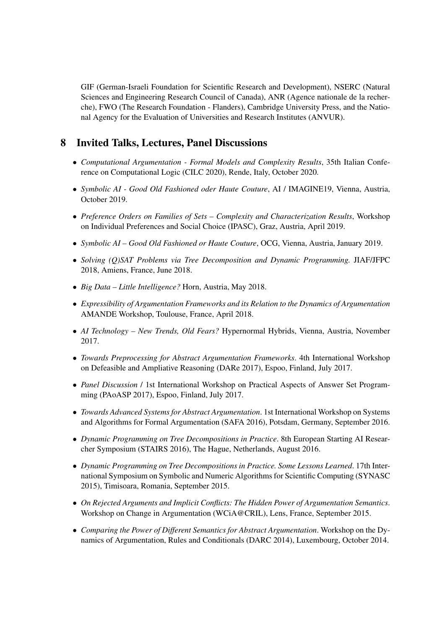GIF (German-Israeli Foundation for Scientific Research and Development), NSERC (Natural Sciences and Engineering Research Council of Canada), ANR (Agence nationale de la recherche), FWO (The Research Foundation - Flanders), Cambridge University Press, and the National Agency for the Evaluation of Universities and Research Institutes (ANVUR).

### 8 Invited Talks, Lectures, Panel Discussions

- *Computational Argumentation Formal Models and Complexity Results*, 35th Italian Conference on Computational Logic (CILC 2020), Rende, Italy, October 2020.
- *Symbolic AI Good Old Fashioned oder Haute Couture*, AI / IMAGINE19, Vienna, Austria, October 2019.
- *Preference Orders on Families of Sets Complexity and Characterization Results*, Workshop on Individual Preferences and Social Choice (IPASC), Graz, Austria, April 2019.
- *Symbolic AI Good Old Fashioned or Haute Couture*, OCG, Vienna, Austria, January 2019.
- *Solving (Q)SAT Problems via Tree Decomposition and Dynamic Programming.* JIAF/JFPC 2018, Amiens, France, June 2018.
- *Big Data Little Intelligence?* Horn, Austria, May 2018.
- *Expressibility of Argumentation Frameworks and its Relation to the Dynamics of Argumentation* AMANDE Workshop, Toulouse, France, April 2018.
- *AI Technology New Trends, Old Fears?* Hypernormal Hybrids, Vienna, Austria, November 2017.
- *Towards Preprocessing for Abstract Argumentation Frameworks*. 4th International Workshop on Defeasible and Ampliative Reasoning (DARe 2017), Espoo, Finland, July 2017.
- *Panel Discussion* / 1st International Workshop on Practical Aspects of Answer Set Programming (PAoASP 2017), Espoo, Finland, July 2017.
- *Towards Advanced Systems for Abstract Argumentation*. 1st International Workshop on Systems and Algorithms for Formal Argumentation (SAFA 2016), Potsdam, Germany, September 2016.
- *Dynamic Programming on Tree Decompositions in Practice*. 8th European Starting AI Researcher Symposium (STAIRS 2016), The Hague, Netherlands, August 2016.
- *Dynamic Programming on Tree Decompositions in Practice. Some Lessons Learned*. 17th International Symposium on Symbolic and Numeric Algorithms for Scientific Computing (SYNASC 2015), Timisoara, Romania, September 2015.
- *On Rejected Arguments and Implicit Conflicts: The Hidden Power of Argumentation Semantics*. Workshop on Change in Argumentation (WCiA@CRIL), Lens, France, September 2015.
- *Comparing the Power of Different Semantics for Abstract Argumentation*. Workshop on the Dynamics of Argumentation, Rules and Conditionals (DARC 2014), Luxembourg, October 2014.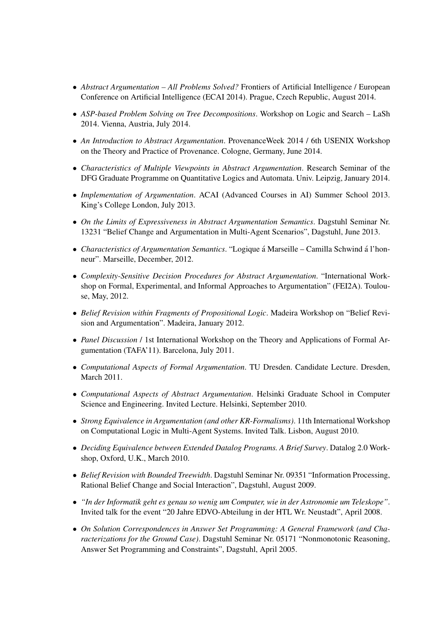- *Abstract Argumentation All Problems Solved?* Frontiers of Artificial Intelligence / European Conference on Artificial Intelligence (ECAI 2014). Prague, Czech Republic, August 2014.
- *ASP-based Problem Solving on Tree Decompositions*. Workshop on Logic and Search LaSh 2014. Vienna, Austria, July 2014.
- *An Introduction to Abstract Argumentation*. ProvenanceWeek 2014 / 6th USENIX Workshop on the Theory and Practice of Provenance. Cologne, Germany, June 2014.
- *Characteristics of Multiple Viewpoints in Abstract Argumentation*. Research Seminar of the DFG Graduate Programme on Quantitative Logics and Automata. Univ. Leipzig, January 2014.
- *Implementation of Argumentation*. ACAI (Advanced Courses in AI) Summer School 2013. King's College London, July 2013.
- *On the Limits of Expressiveness in Abstract Argumentation Semantics*. Dagstuhl Seminar Nr. 13231 "Belief Change and Argumentation in Multi-Agent Scenarios", Dagstuhl, June 2013.
- *Characteristics of Argumentation Semantics*. "Logique á Marseille Camilla Schwind á l'honneur". Marseille, December, 2012.
- *Complexity-Sensitive Decision Procedures for Abstract Argumentation*. "International Workshop on Formal, Experimental, and Informal Approaches to Argumentation" (FEI2A). Toulouse, May, 2012.
- *Belief Revision within Fragments of Propositional Logic*. Madeira Workshop on "Belief Revision and Argumentation". Madeira, January 2012.
- *Panel Discussion* / 1st International Workshop on the Theory and Applications of Formal Argumentation (TAFA'11). Barcelona, July 2011.
- *Computational Aspects of Formal Argumentation*. TU Dresden. Candidate Lecture. Dresden, March 2011.
- *Computational Aspects of Abstract Argumentation*. Helsinki Graduate School in Computer Science and Engineering. Invited Lecture. Helsinki, September 2010.
- *Strong Equivalence in Argumentation (and other KR-Formalisms)*. 11th International Workshop on Computational Logic in Multi-Agent Systems. Invited Talk. Lisbon, August 2010.
- *Deciding Equivalence between Extended Datalog Programs. A Brief Survey*. Datalog 2.0 Workshop, Oxford, U.K., March 2010.
- *Belief Revision with Bounded Treewidth*. Dagstuhl Seminar Nr. 09351 "Information Processing, Rational Belief Change and Social Interaction", Dagstuhl, August 2009.
- *"In der Informatik geht es genau so wenig um Computer, wie in der Astronomie um Teleskope"*. Invited talk for the event "20 Jahre EDVO-Abteilung in der HTL Wr. Neustadt", April 2008.
- *On Solution Correspondences in Answer Set Programming: A General Framework (and Characterizations for the Ground Case)*. Dagstuhl Seminar Nr. 05171 "Nonmonotonic Reasoning, Answer Set Programming and Constraints", Dagstuhl, April 2005.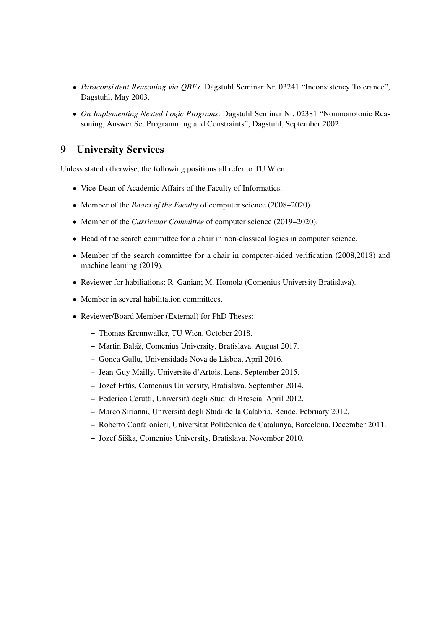- *Paraconsistent Reasoning via QBFs*. Dagstuhl Seminar Nr. 03241 "Inconsistency Tolerance", Dagstuhl, May 2003.
- *On Implementing Nested Logic Programs*. Dagstuhl Seminar Nr. 02381 "Nonmonotonic Reasoning, Answer Set Programming and Constraints", Dagstuhl, September 2002.

### 9 University Services

Unless stated otherwise, the following positions all refer to TU Wien.

- Vice-Dean of Academic Affairs of the Faculty of Informatics.
- Member of the *Board of the Faculty* of computer science (2008–2020).
- Member of the *Curricular Committee* of computer science (2019–2020).
- Head of the search committee for a chair in non-classical logics in computer science.
- Member of the search committee for a chair in computer-aided verification (2008,2018) and machine learning (2019).
- Reviewer for habiliations: R. Ganian; M. Homola (Comenius University Bratislava).
- Member in several habilitation committees.
- Reviewer/Board Member (External) for PhD Theses:
	- Thomas Krennwaller, TU Wien. October 2018.
	- Martin Baláž, Comenius University, Bratislava. August 2017.
	- Gonca Güllü, Universidade Nova de Lisboa, April 2016.
	- Jean-Guy Mailly, Universite d'Artois, Lens. September 2015. ´
	- Jozef Frtus, Comenius University, Bratislava. September 2014. ´
	- Federico Cerutti, Universita degli Studi di Brescia. April 2012. `
	- Marco Sirianni, Universita degli Studi della Calabria, Rende. February 2012. `
	- Roberto Confalonieri, Universitat Politecnica de Catalunya, Barcelona. December 2011. `
	- Jozef Siška, Comenius University, Bratislava. November 2010.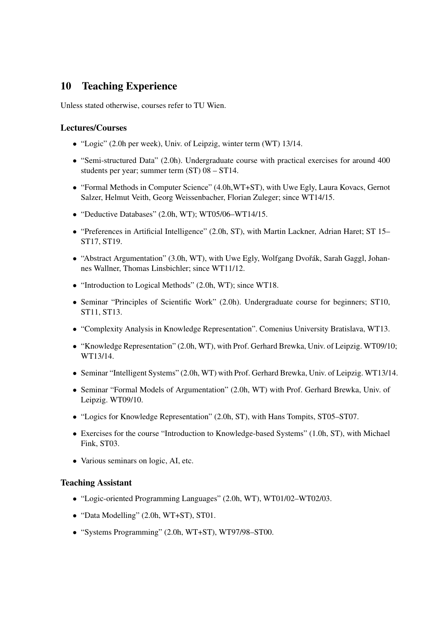### 10 Teaching Experience

Unless stated otherwise, courses refer to TU Wien.

### Lectures/Courses

- "Logic" (2.0h per week), Univ. of Leipzig, winter term (WT) 13/14.
- "Semi-structured Data" (2.0h). Undergraduate course with practical exercises for around 400 students per year; summer term (ST) 08 – ST14.
- "Formal Methods in Computer Science" (4.0h,WT+ST), with Uwe Egly, Laura Kovacs, Gernot Salzer, Helmut Veith, Georg Weissenbacher, Florian Zuleger; since WT14/15.
- "Deductive Databases" (2.0h, WT); WT05/06–WT14/15.
- "Preferences in Artificial Intelligence" (2.0h, ST), with Martin Lackner, Adrian Haret; ST 15– ST17, ST19.
- "Abstract Argumentation" (3.0h, WT), with Uwe Egly, Wolfgang Dvořák, Sarah Gaggl, Johannes Wallner, Thomas Linsbichler; since WT11/12.
- "Introduction to Logical Methods" (2.0h, WT); since WT18.
- Seminar "Principles of Scientific Work" (2.0h). Undergraduate course for beginners; ST10, ST11, ST13.
- "Complexity Analysis in Knowledge Representation". Comenius University Bratislava, WT13.
- "Knowledge Representation" (2.0h, WT), with Prof. Gerhard Brewka, Univ. of Leipzig. WT09/10; WT13/14.
- Seminar "Intelligent Systems" (2.0h, WT) with Prof. Gerhard Brewka, Univ. of Leipzig. WT13/14.
- Seminar "Formal Models of Argumentation" (2.0h, WT) with Prof. Gerhard Brewka, Univ. of Leipzig. WT09/10.
- "Logics for Knowledge Representation" (2.0h, ST), with Hans Tompits, ST05–ST07.
- Exercises for the course "Introduction to Knowledge-based Systems" (1.0h, ST), with Michael Fink, ST03.
- Various seminars on logic, AI, etc.

#### Teaching Assistant

- "Logic-oriented Programming Languages" (2.0h, WT), WT01/02–WT02/03.
- "Data Modelling" (2.0h, WT+ST), ST01.
- "Systems Programming" (2.0h, WT+ST), WT97/98–ST00.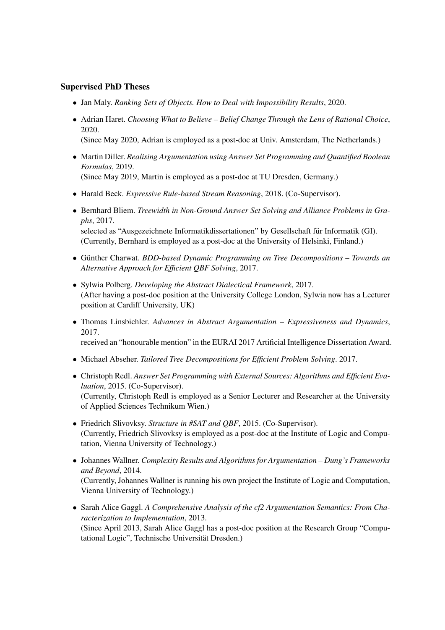### Supervised PhD Theses

- Jan Maly. *Ranking Sets of Objects. How to Deal with Impossibility Results*, 2020.
- Adrian Haret. *Choosing What to Believe Belief Change Through the Lens of Rational Choice*, 2020.
	- (Since May 2020, Adrian is employed as a post-doc at Univ. Amsterdam, The Netherlands.)
- Martin Diller. *Realising Argumentation using Answer Set Programming and Quantified Boolean Formulas*, 2019. (Since May 2019, Martin is employed as a post-doc at TU Dresden, Germany.)
- Harald Beck. *Expressive Rule-based Stream Reasoning*, 2018. (Co-Supervisor).
- Bernhard Bliem. *Treewidth in Non-Ground Answer Set Solving and Alliance Problems in Graphs*, 2017. selected as "Ausgezeichnete Informatikdissertationen" by Gesellschaft für Informatik (GI). (Currently, Bernhard is employed as a post-doc at the University of Helsinki, Finland.)
- Günther Charwat. *BDD-based Dynamic Programming on Tree Decompositions Towards an Alternative Approach for Efficient QBF Solving*, 2017.
- Sylwia Polberg. *Developing the Abstract Dialectical Framework*, 2017. (After having a post-doc position at the University College London, Sylwia now has a Lecturer position at Cardiff University, UK)
- Thomas Linsbichler. *Advances in Abstract Argumentation Expressiveness and Dynamics*, 2017.

received an "honourable mention" in the EURAI 2017 Artificial Intelligence Dissertation Award.

- Michael Abseher. *Tailored Tree Decompositions for Efficient Problem Solving*. 2017.
- Christoph Redl. *Answer Set Programming with External Sources: Algorithms and Efficient Evaluation*, 2015. (Co-Supervisor). (Currently, Christoph Redl is employed as a Senior Lecturer and Researcher at the University of Applied Sciences Technikum Wien.)
- Friedrich Slivovksy. *Structure in #SAT and QBF*, 2015. (Co-Supervisor). (Currently, Friedrich Slivovksy is employed as a post-doc at the Institute of Logic and Computation, Vienna University of Technology.)
- Johannes Wallner. *Complexity Results and Algorithms for Argumentation Dung's Frameworks and Beyond*, 2014. (Currently, Johannes Wallner is running his own project the Institute of Logic and Computation, Vienna University of Technology.)
- Sarah Alice Gaggl. *A Comprehensive Analysis of the cf2 Argumentation Semantics: From Characterization to Implementation*, 2013. (Since April 2013, Sarah Alice Gaggl has a post-doc position at the Research Group "Computational Logic", Technische Universität Dresden.)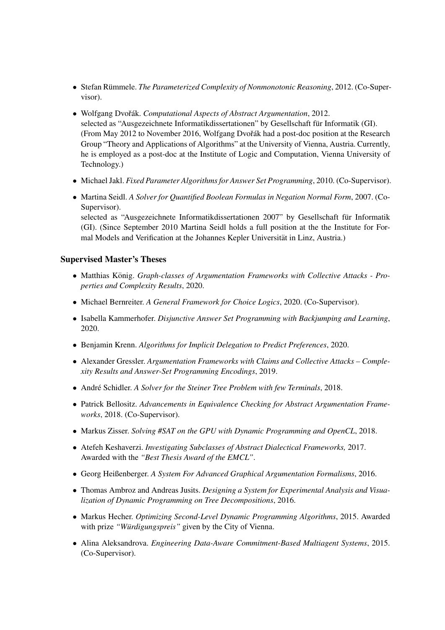- Stefan Rümmele. *The Parameterized Complexity of Nonmonotonic Reasoning*, 2012. (Co-Supervisor).
- Wolfgang Dvořák. *Computational Aspects of Abstract Argumentation*, 2012. selected as "Ausgezeichnete Informatikdissertationen" by Gesellschaft für Informatik (GI). (From May 2012 to November 2016, Wolfgang Dvořák had a post-doc position at the Research Group "Theory and Applications of Algorithms" at the University of Vienna, Austria. Currently, he is employed as a post-doc at the Institute of Logic and Computation, Vienna University of Technology.)
- Michael Jakl. *Fixed Parameter Algorithms for Answer Set Programming*, 2010. (Co-Supervisor).
- Martina Seidl. *A Solver for Quantified Boolean Formulas in Negation Normal Form*, 2007. (Co-Supervisor). selected as "Ausgezeichnete Informatikdissertationen 2007" by Gesellschaft für Informatik (GI). (Since September 2010 Martina Seidl holds a full position at the the Institute for Formal Models and Verification at the Johannes Kepler Universitat in Linz, Austria.) ¨

### Supervised Master's Theses

- Matthias König. Graph-classes of Argumentation Frameworks with Collective Attacks Pro*perties and Complexity Results*, 2020.
- Michael Bernreiter. *A General Framework for Choice Logics*, 2020. (Co-Supervisor).
- Isabella Kammerhofer. *Disjunctive Answer Set Programming with Backjumping and Learning*, 2020.
- Benjamin Krenn. *Algorithms for Implicit Delegation to Predict Preferences*, 2020.
- Alexander Gressler. *Argumentation Frameworks with Claims and Collective Attacks Complexity Results and Answer-Set Programming Encodings*, 2019.
- André Schidler. A Solver for the Steiner Tree Problem with few Terminals, 2018.
- Patrick Bellositz. *Advancements in Equivalence Checking for Abstract Argumentation Frameworks*, 2018. (Co-Supervisor).
- Markus Zisser. *Solving #SAT on the GPU with Dynamic Programming and OpenCL*, 2018.
- Atefeh Keshaverzi. *Investigating Subclasses of Abstract Dialectical Frameworks,* 2017. Awarded with the *"Best Thesis Award of the EMCL"*.
- Georg Heißenberger. *A System For Advanced Graphical Argumentation Formalisms*, 2016.
- Thomas Ambroz and Andreas Jusits. *Designing a System for Experimental Analysis and Visualization of Dynamic Programming on Tree Decompositions*, 2016.
- Markus Hecher. *Optimizing Second-Level Dynamic Programming Algorithms*, 2015. Awarded with prize "Würdigungspreis" given by the City of Vienna.
- Alina Aleksandrova. *Engineering Data-Aware Commitment-Based Multiagent Systems*, 2015. (Co-Supervisor).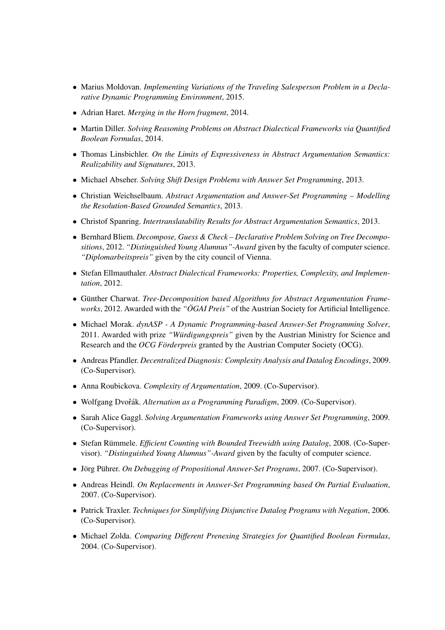- Marius Moldovan. *Implementing Variations of the Traveling Salesperson Problem in a Declarative Dynamic Programming Environment*, 2015.
- Adrian Haret. *Merging in the Horn fragment*, 2014.
- Martin Diller. *Solving Reasoning Problems on Abstract Dialectical Frameworks via Quantified Boolean Formulas*, 2014.
- Thomas Linsbichler. *On the Limits of Expressiveness in Abstract Argumentation Semantics: Realizability and Signatures*, 2013.
- Michael Abseher. *Solving Shift Design Problems with Answer Set Programming*, 2013.
- Christian Weichselbaum. *Abstract Argumentation and Answer-Set Programming Modelling the Resolution-Based Grounded Semantics*, 2013.
- Christof Spanring. *Intertranslatability Results for Abstract Argumentation Semantics*, 2013.
- Bernhard Bliem. *Decompose, Guess & Check Declarative Problem Solving on Tree Decompositions*, 2012. *"Distinguished Young Alumnus"-Award* given by the faculty of computer science. *"Diplomarbeitspreis"* given by the city council of Vienna.
- Stefan Ellmauthaler. *Abstract Dialectical Frameworks: Properties, Complexity, and Implementation*, 2012.
- Günther Charwat. *Tree-Decomposition based Algorithms for Abstract Argumentation Frameworks*, 2012. Awarded with the *"OGAI Preis" ¨* of the Austrian Society for Artificial Intelligence.
- Michael Morak. *dynASP A Dynamic Programming-based Answer-Set Programming Solver*, 2011. Awarded with prize "Würdigungspreis" given by the Austrian Ministry for Science and Research and the *OCG Förderpreis* granted by the Austrian Computer Society (OCG).
- Andreas Pfandler. *Decentralized Diagnosis: Complexity Analysis and Datalog Encodings*, 2009. (Co-Supervisor).
- Anna Roubickova. *Complexity of Argumentation*, 2009. (Co-Supervisor).
- Wolfgang Dvořák. Alternation as a Programming Paradigm, 2009. (Co-Supervisor).
- Sarah Alice Gaggl. *Solving Argumentation Frameworks using Answer Set Programming*, 2009. (Co-Supervisor).
- Stefan Rümmele. *Efficient Counting with Bounded Treewidth using Datalog*, 2008. (Co-Supervisor). *"Distinguished Young Alumnus"-Award* given by the faculty of computer science.
- Jörg Pührer. On Debugging of Propositional Answer-Set Programs, 2007. (Co-Supervisor).
- Andreas Heindl. *On Replacements in Answer-Set Programming based On Partial Evaluation*, 2007. (Co-Supervisor).
- Patrick Traxler. *Techniques for Simplifying Disjunctive Datalog Programs with Negation*, 2006. (Co-Supervisor).
- Michael Zolda. *Comparing Different Prenexing Strategies for Quantified Boolean Formulas*, 2004. (Co-Supervisor).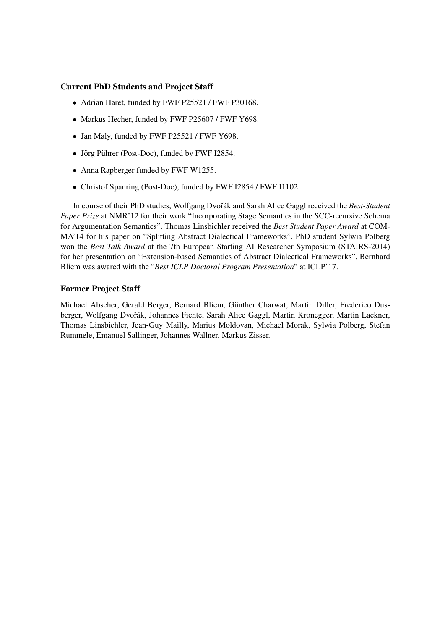### Current PhD Students and Project Staff

- Adrian Haret, funded by FWF P25521 / FWF P30168.
- Markus Hecher, funded by FWF P25607 / FWF Y698.
- Jan Maly, funded by FWF P25521 / FWF Y698.
- Jörg Pührer (Post-Doc), funded by FWF I2854.
- Anna Rapberger funded by FWF W1255.
- Christof Spanring (Post-Doc), funded by FWF I2854 / FWF I1102.

In course of their PhD studies, Wolfgang Dvořák and Sarah Alice Gaggl received the *Best-Student Paper Prize* at NMR'12 for their work "Incorporating Stage Semantics in the SCC-recursive Schema for Argumentation Semantics". Thomas Linsbichler received the *Best Student Paper Award* at COM-MA'14 for his paper on "Splitting Abstract Dialectical Frameworks". PhD student Sylwia Polberg won the *Best Talk Award* at the 7th European Starting AI Researcher Symposium (STAIRS-2014) for her presentation on "Extension-based Semantics of Abstract Dialectical Frameworks". Bernhard Bliem was awared with the "*Best ICLP Doctoral Program Presentation*" at ICLP'17.

### Former Project Staff

Michael Abseher, Gerald Berger, Bernard Bliem, Günther Charwat, Martin Diller, Frederico Dusberger, Wolfgang Dvořák, Johannes Fichte, Sarah Alice Gaggl, Martin Kronegger, Martin Lackner, Thomas Linsbichler, Jean-Guy Mailly, Marius Moldovan, Michael Morak, Sylwia Polberg, Stefan Rümmele, Emanuel Sallinger, Johannes Wallner, Markus Zisser.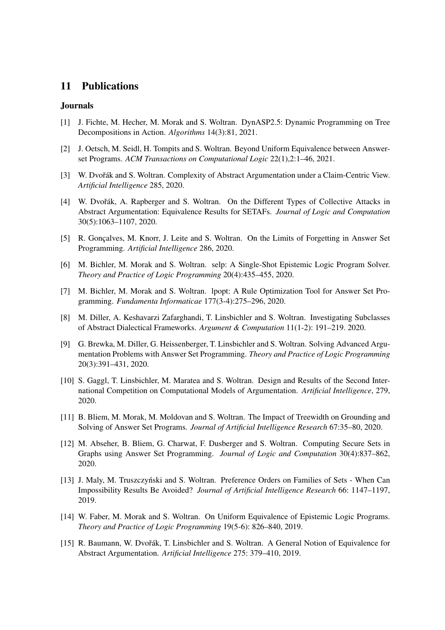### 11 Publications

### Journals

- [1] J. Fichte, M. Hecher, M. Morak and S. Woltran. DynASP2.5: Dynamic Programming on Tree Decompositions in Action. *Algorithms* 14(3):81, 2021.
- [2] J. Oetsch, M. Seidl, H. Tompits and S. Woltran. Beyond Uniform Equivalence between Answerset Programs. *ACM Transactions on Computational Logic* 22(1),2:1–46, 2021.
- [3] W. Dvořák and S. Woltran. Complexity of Abstract Argumentation under a Claim-Centric View. *Artificial Intelligence* 285, 2020.
- [4] W. Dvořák, A. Rapberger and S. Woltran. On the Different Types of Collective Attacks in Abstract Argumentation: Equivalence Results for SETAFs. *Journal of Logic and Computation* 30(5):1063–1107, 2020.
- [5] R. Goncalves, M. Knorr, J. Leite and S. Woltran. On the Limits of Forgetting in Answer Set Programming. *Artificial Intelligence* 286, 2020.
- [6] M. Bichler, M. Morak and S. Woltran. selp: A Single-Shot Epistemic Logic Program Solver. *Theory and Practice of Logic Programming* 20(4):435–455, 2020.
- [7] M. Bichler, M. Morak and S. Woltran. lpopt: A Rule Optimization Tool for Answer Set Programming. *Fundamenta Informaticae* 177(3-4):275–296, 2020.
- [8] M. Diller, A. Keshavarzi Zafarghandi, T. Linsbichler and S. Woltran. Investigating Subclasses of Abstract Dialectical Frameworks. *Argument & Computation* 11(1-2): 191–219. 2020.
- [9] G. Brewka, M. Diller, G. Heissenberger, T. Linsbichler and S. Woltran. Solving Advanced Argumentation Problems with Answer Set Programming. *Theory and Practice of Logic Programming* 20(3):391–431, 2020.
- [10] S. Gaggl, T. Linsbichler, M. Maratea and S. Woltran. Design and Results of the Second International Competition on Computational Models of Argumentation. *Artificial Intelligence*, 279, 2020.
- [11] B. Bliem, M. Morak, M. Moldovan and S. Woltran. The Impact of Treewidth on Grounding and Solving of Answer Set Programs. *Journal of Artificial Intelligence Research* 67:35–80, 2020.
- [12] M. Abseher, B. Bliem, G. Charwat, F. Dusberger and S. Woltran. Computing Secure Sets in Graphs using Answer Set Programming. *Journal of Logic and Computation* 30(4):837–862, 2020.
- [13] J. Maly, M. Truszczyński and S. Woltran. Preference Orders on Families of Sets When Can Impossibility Results Be Avoided? *Journal of Artificial Intelligence Research* 66: 1147–1197, 2019.
- [14] W. Faber, M. Morak and S. Woltran. On Uniform Equivalence of Epistemic Logic Programs. *Theory and Practice of Logic Programming* 19(5-6): 826–840, 2019.
- [15] R. Baumann, W. Dvořák, T. Linsbichler and S. Woltran. A General Notion of Equivalence for Abstract Argumentation. *Artificial Intelligence* 275: 379–410, 2019.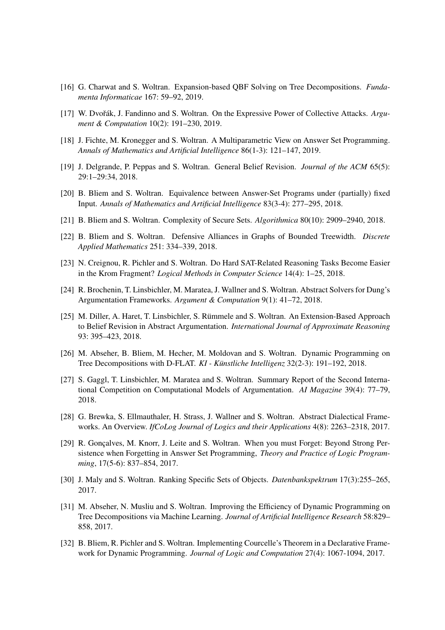- [16] G. Charwat and S. Woltran. Expansion-based QBF Solving on Tree Decompositions. *Fundamenta Informaticae* 167: 59–92, 2019.
- [17] W. Dvořák, J. Fandinno and S. Woltran. On the Expressive Power of Collective Attacks.  $Argu$ *ment & Computation* 10(2): 191–230, 2019.
- [18] J. Fichte, M. Kronegger and S. Woltran. A Multiparametric View on Answer Set Programming. *Annals of Mathematics and Artificial Intelligence* 86(1-3): 121–147, 2019.
- [19] J. Delgrande, P. Peppas and S. Woltran. General Belief Revision. *Journal of the ACM* 65(5): 29:1–29:34, 2018.
- [20] B. Bliem and S. Woltran. Equivalence between Answer-Set Programs under (partially) fixed Input. *Annals of Mathematics and Artificial Intelligence* 83(3-4): 277–295, 2018.
- [21] B. Bliem and S. Woltran. Complexity of Secure Sets. *Algorithmica* 80(10): 2909–2940, 2018.
- [22] B. Bliem and S. Woltran. Defensive Alliances in Graphs of Bounded Treewidth. *Discrete Applied Mathematics* 251: 334–339, 2018.
- [23] N. Creignou, R. Pichler and S. Woltran. Do Hard SAT-Related Reasoning Tasks Become Easier in the Krom Fragment? *Logical Methods in Computer Science* 14(4): 1–25, 2018.
- [24] R. Brochenin, T. Linsbichler, M. Maratea, J. Wallner and S. Woltran. Abstract Solvers for Dung's Argumentation Frameworks. *Argument & Computation* 9(1): 41–72, 2018.
- [25] M. Diller, A. Haret, T. Linsbichler, S. Rümmele and S. Woltran. An Extension-Based Approach to Belief Revision in Abstract Argumentation. *International Journal of Approximate Reasoning* 93: 395–423, 2018.
- [26] M. Abseher, B. Bliem, M. Hecher, M. Moldovan and S. Woltran. Dynamic Programming on Tree Decompositions with D-FLAT. *KI - Künstliche Intelligenz* 32(2-3): 191–192, 2018.
- [27] S. Gaggl, T. Linsbichler, M. Maratea and S. Woltran. Summary Report of the Second International Competition on Computational Models of Argumentation. *AI Magazine* 39(4): 77–79, 2018.
- [28] G. Brewka, S. Ellmauthaler, H. Strass, J. Wallner and S. Woltran. Abstract Dialectical Frameworks. An Overview. *IfCoLog Journal of Logics and their Applications* 4(8): 2263–2318, 2017.
- [29] R. Gonçalves, M. Knorr, J. Leite and S. Woltran. When you must Forget: Beyond Strong Persistence when Forgetting in Answer Set Programming, *Theory and Practice of Logic Programming*, 17(5-6): 837–854, 2017.
- [30] J. Maly and S. Woltran. Ranking Specific Sets of Objects. *Datenbankspektrum* 17(3):255–265, 2017.
- [31] M. Abseher, N. Musliu and S. Woltran. Improving the Efficiency of Dynamic Programming on Tree Decompositions via Machine Learning. *Journal of Artificial Intelligence Research* 58:829– 858, 2017.
- [32] B. Bliem, R. Pichler and S. Woltran. Implementing Courcelle's Theorem in a Declarative Framework for Dynamic Programming. *Journal of Logic and Computation* 27(4): 1067-1094, 2017.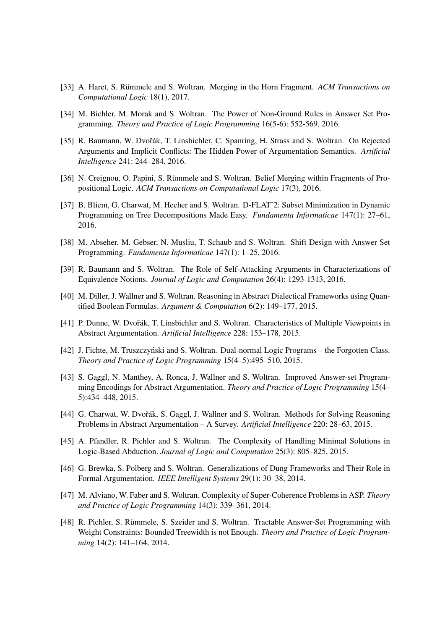- [33] A. Haret, S. Rümmele and S. Woltran. Merging in the Horn Fragment. ACM Transactions on *Computational Logic* 18(1), 2017.
- [34] M. Bichler, M. Morak and S. Woltran. The Power of Non-Ground Rules in Answer Set Programming. *Theory and Practice of Logic Programming* 16(5-6): 552-569, 2016.
- [35] R. Baumann, W. Dvořák, T. Linsbichler, C. Spanring, H. Strass and S. Woltran. On Rejected Arguments and Implicit Conflicts: The Hidden Power of Argumentation Semantics. *Artificial Intelligence* 241: 244–284, 2016.
- [36] N. Creignou, O. Papini, S. Rümmele and S. Woltran. Belief Merging within Fragments of Propositional Logic. *ACM Transactions on Computational Logic* 17(3), 2016.
- [37] B. Bliem, G. Charwat, M. Hecher and S. Woltran. D-FLATˆ2: Subset Minimization in Dynamic Programming on Tree Decompositions Made Easy. *Fundamenta Informaticae* 147(1): 27–61, 2016.
- [38] M. Abseher, M. Gebser, N. Musliu, T. Schaub and S. Woltran. Shift Design with Answer Set Programming. *Fundamenta Informaticae* 147(1): 1–25, 2016.
- [39] R. Baumann and S. Woltran. The Role of Self-Attacking Arguments in Characterizations of Equivalence Notions. *Journal of Logic and Computation* 26(4): 1293-1313, 2016.
- [40] M. Diller, J. Wallner and S. Woltran. Reasoning in Abstract Dialectical Frameworks using Quantified Boolean Formulas. *Argument & Computation* 6(2): 149–177, 2015.
- [41] P. Dunne, W. Dvořák, T. Linsbichler and S. Woltran. Characteristics of Multiple Viewpoints in Abstract Argumentation. *Artificial Intelligence* 228: 153–178, 2015.
- [42] J. Fichte, M. Truszczyntski and S. Woltran. Dual-normal Logic Programs the Forgotten Class. *Theory and Practice of Logic Programming* 15(4–5):495–510, 2015.
- [43] S. Gaggl, N. Manthey, A. Ronca, J. Wallner and S. Woltran. Improved Answer-set Programming Encodings for Abstract Argumentation. *Theory and Practice of Logic Programming* 15(4– 5):434–448, 2015.
- [44] G. Charwat, W. Dvořák, S. Gaggl, J. Wallner and S. Woltran. Methods for Solving Reasoning Problems in Abstract Argumentation – A Survey. *Artificial Intelligence* 220: 28–63, 2015.
- [45] A. Pfandler, R. Pichler and S. Woltran. The Complexity of Handling Minimal Solutions in Logic-Based Abduction. *Journal of Logic and Computation* 25(3): 805–825, 2015.
- [46] G. Brewka, S. Polberg and S. Woltran. Generalizations of Dung Frameworks and Their Role in Formal Argumentation. *IEEE Intelligent Systems* 29(1): 30–38, 2014.
- [47] M. Alviano, W. Faber and S. Woltran. Complexity of Super-Coherence Problems in ASP. *Theory and Practice of Logic Programming* 14(3): 339–361, 2014.
- [48] R. Pichler, S. Rümmele, S. Szeider and S. Woltran. Tractable Answer-Set Programming with Weight Constraints: Bounded Treewidth is not Enough. *Theory and Practice of Logic Programming* 14(2): 141–164, 2014.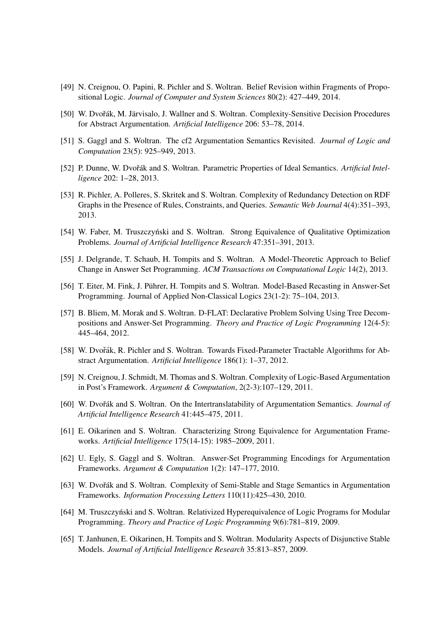- [49] N. Creignou, O. Papini, R. Pichler and S. Woltran. Belief Revision within Fragments of Propositional Logic. *Journal of Computer and System Sciences* 80(2): 427–449, 2014.
- [50] W. Dvořák, M. Järvisalo, J. Wallner and S. Woltran. Complexity-Sensitive Decision Procedures for Abstract Argumentation. *Artificial Intelligence* 206: 53–78, 2014.
- [51] S. Gaggl and S. Woltran. The cf2 Argumentation Semantics Revisited. *Journal of Logic and Computation* 23(5): 925–949, 2013.
- [52] P. Dunne, W. Dvořák and S. Woltran. Parametric Properties of Ideal Semantics. Artificial Intel*ligence* 202: 1–28, 2013.
- [53] R. Pichler, A. Polleres, S. Skritek and S. Woltran. Complexity of Redundancy Detection on RDF Graphs in the Presence of Rules, Constraints, and Queries. *Semantic Web Journal* 4(4):351–393, 2013.
- [54] W. Faber, M. Truszczyński and S. Woltran. Strong Equivalence of Qualitative Optimization Problems. *Journal of Artificial Intelligence Research* 47:351–391, 2013.
- [55] J. Delgrande, T. Schaub, H. Tompits and S. Woltran. A Model-Theoretic Approach to Belief Change in Answer Set Programming. *ACM Transactions on Computational Logic* 14(2), 2013.
- [56] T. Eiter, M. Fink, J. Pührer, H. Tompits and S. Woltran. Model-Based Recasting in Answer-Set Programming. Journal of Applied Non-Classical Logics 23(1-2): 75–104, 2013.
- [57] B. Bliem, M. Morak and S. Woltran. D-FLAT: Declarative Problem Solving Using Tree Decompositions and Answer-Set Programming. *Theory and Practice of Logic Programming* 12(4-5): 445–464, 2012.
- [58] W. Dvořák, R. Pichler and S. Woltran. Towards Fixed-Parameter Tractable Algorithms for Abstract Argumentation. *Artificial Intelligence* 186(1): 1–37, 2012.
- [59] N. Creignou, J. Schmidt, M. Thomas and S. Woltran. Complexity of Logic-Based Argumentation in Post's Framework. *Argument & Computation*, 2(2-3):107–129, 2011.
- [60] W. Dvořák and S. Woltran. On the Intertranslatability of Argumentation Semantics. *Journal of Artificial Intelligence Research* 41:445–475, 2011.
- [61] E. Oikarinen and S. Woltran. Characterizing Strong Equivalence for Argumentation Frameworks. *Artificial Intelligence* 175(14-15): 1985–2009, 2011.
- [62] U. Egly, S. Gaggl and S. Woltran. Answer-Set Programming Encodings for Argumentation Frameworks. *Argument & Computation* 1(2): 147–177, 2010.
- [63] W. Dvořák and S. Woltran. Complexity of Semi-Stable and Stage Semantics in Argumentation Frameworks. *Information Processing Letters* 110(11):425–430, 2010.
- [64] M. Truszczyński and S. Woltran. Relativized Hyperequivalence of Logic Programs for Modular Programming. *Theory and Practice of Logic Programming* 9(6):781–819, 2009.
- [65] T. Janhunen, E. Oikarinen, H. Tompits and S. Woltran. Modularity Aspects of Disjunctive Stable Models. *Journal of Artificial Intelligence Research* 35:813–857, 2009.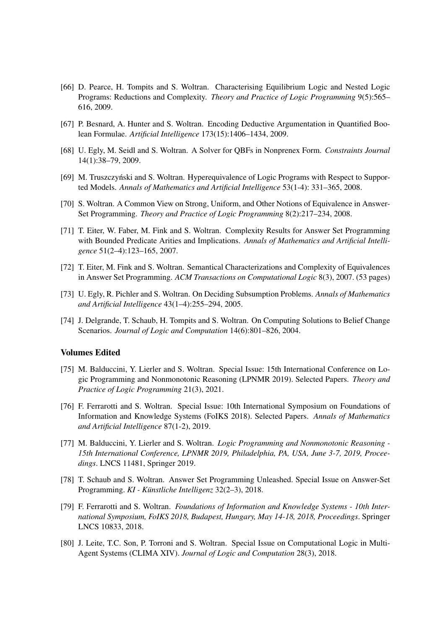- [66] D. Pearce, H. Tompits and S. Woltran. Characterising Equilibrium Logic and Nested Logic Programs: Reductions and Complexity. *Theory and Practice of Logic Programming* 9(5):565– 616, 2009.
- [67] P. Besnard, A. Hunter and S. Woltran. Encoding Deductive Argumentation in Quantified Boolean Formulae. *Artificial Intelligence* 173(15):1406–1434, 2009.
- [68] U. Egly, M. Seidl and S. Woltran. A Solver for QBFs in Nonprenex Form. *Constraints Journal* 14(1):38–79, 2009.
- [69] M. Truszczyński and S. Woltran. Hyperequivalence of Logic Programs with Respect to Supported Models. *Annals of Mathematics and Artificial Intelligence* 53(1-4): 331–365, 2008.
- [70] S. Woltran. A Common View on Strong, Uniform, and Other Notions of Equivalence in Answer-Set Programming. *Theory and Practice of Logic Programming* 8(2):217–234, 2008.
- [71] T. Eiter, W. Faber, M. Fink and S. Woltran. Complexity Results for Answer Set Programming with Bounded Predicate Arities and Implications. *Annals of Mathematics and Artificial Intelligence* 51(2–4):123–165, 2007.
- [72] T. Eiter, M. Fink and S. Woltran. Semantical Characterizations and Complexity of Equivalences in Answer Set Programming. *ACM Transactions on Computational Logic* 8(3), 2007. (53 pages)
- [73] U. Egly, R. Pichler and S. Woltran. On Deciding Subsumption Problems. *Annals of Mathematics and Artificial Intelligence* 43(1–4):255–294, 2005.
- [74] J. Delgrande, T. Schaub, H. Tompits and S. Woltran. On Computing Solutions to Belief Change Scenarios. *Journal of Logic and Computation* 14(6):801–826, 2004.

#### Volumes Edited

- [75] M. Balduccini, Y. Lierler and S. Woltran. Special Issue: 15th International Conference on Logic Programming and Nonmonotonic Reasoning (LPNMR 2019). Selected Papers. *Theory and Practice of Logic Programming* 21(3), 2021.
- [76] F. Ferrarotti and S. Woltran. Special Issue: 10th International Symposium on Foundations of Information and Knowledge Systems (FoIKS 2018). Selected Papers. *Annals of Mathematics and Artificial Intelligence* 87(1-2), 2019.
- [77] M. Balduccini, Y. Lierler and S. Woltran. *Logic Programming and Nonmonotonic Reasoning - 15th International Conference, LPNMR 2019, Philadelphia, PA, USA, June 3-7, 2019, Proceedings*. LNCS 11481, Springer 2019.
- [78] T. Schaub and S. Woltran. Answer Set Programming Unleashed. Special Issue on Answer-Set Programming. *KI - Künstliche Intelligenz* 32(2–3), 2018.
- [79] F. Ferrarotti and S. Woltran. *Foundations of Information and Knowledge Systems 10th International Symposium, FoIKS 2018, Budapest, Hungary, May 14-18, 2018, Proceedings*. Springer LNCS 10833, 2018.
- [80] J. Leite, T.C. Son, P. Torroni and S. Woltran. Special Issue on Computational Logic in Multi-Agent Systems (CLIMA XIV). *Journal of Logic and Computation* 28(3), 2018.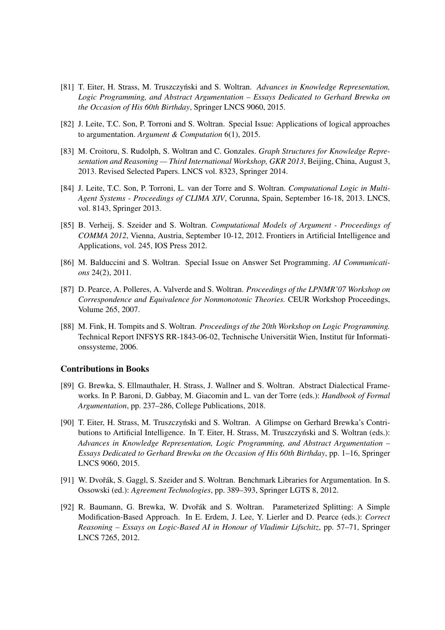- [81] T. Eiter, H. Strass, M. Truszczynski and S. Woltran. ´ *Advances in Knowledge Representation, Logic Programming, and Abstract Argumentation – Essays Dedicated to Gerhard Brewka on the Occasion of His 60th Birthday*, Springer LNCS 9060, 2015.
- [82] J. Leite, T.C. Son, P. Torroni and S. Woltran. Special Issue: Applications of logical approaches to argumentation. *Argument & Computation* 6(1), 2015.
- [83] M. Croitoru, S. Rudolph, S. Woltran and C. Gonzales. *Graph Structures for Knowledge Representation and Reasoning — Third International Workshop, GKR 2013*, Beijing, China, August 3, 2013. Revised Selected Papers. LNCS vol. 8323, Springer 2014.
- [84] J. Leite, T.C. Son, P. Torroni, L. van der Torre and S. Woltran. *Computational Logic in Multi-Agent Systems - Proceedings of CLIMA XIV*, Corunna, Spain, September 16-18, 2013. LNCS, vol. 8143, Springer 2013.
- [85] B. Verheij, S. Szeider and S. Woltran. *Computational Models of Argument Proceedings of COMMA 2012*, Vienna, Austria, September 10-12, 2012. Frontiers in Artificial Intelligence and Applications, vol. 245, IOS Press 2012.
- [86] M. Balduccini and S. Woltran. Special Issue on Answer Set Programming. *AI Communications* 24(2), 2011.
- [87] D. Pearce, A. Polleres, A. Valverde and S. Woltran. *Proceedings of the LPNMR'07 Workshop on Correspondence and Equivalence for Nonmonotonic Theories.* CEUR Workshop Proceedings, Volume 265, 2007.
- [88] M. Fink, H. Tompits and S. Woltran. *Proceedings of the 20th Workshop on Logic Programming.* Technical Report INFSYS RR-1843-06-02, Technische Universität Wien, Institut für Informationssysteme, 2006.

#### Contributions in Books

- [89] G. Brewka, S. Ellmauthaler, H. Strass, J. Wallner and S. Woltran. Abstract Dialectical Frameworks. In P. Baroni, D. Gabbay, M. Giacomin and L. van der Torre (eds.): *Handbook of Formal Argumentation*, pp. 237–286, College Publications, 2018.
- [90] T. Eiter, H. Strass, M. Truszczyński and S. Woltran. A Glimpse on Gerhard Brewka's Contributions to Artificial Intelligence. In T. Eiter, H. Strass, M. Truszczyński and S. Woltran (eds.): *Advances in Knowledge Representation, Logic Programming, and Abstract Argumentation – Essays Dedicated to Gerhard Brewka on the Occasion of His 60th Birthday*, pp. 1–16, Springer LNCS 9060, 2015.
- [91] W. Dvořák, S. Gaggl, S. Szeider and S. Woltran. Benchmark Libraries for Argumentation. In S. Ossowski (ed.): *Agreement Technologies*, pp. 389–393, Springer LGTS 8, 2012.
- [92] R. Baumann, G. Brewka, W. Dvořák and S. Woltran. Parameterized Splitting: A Simple Modification-Based Approach. In E. Erdem, J. Lee, Y. Lierler and D. Pearce (eds.): *Correct Reasoning – Essays on Logic-Based AI in Honour of Vladimir Lifschitz*, pp. 57–71, Springer LNCS 7265, 2012.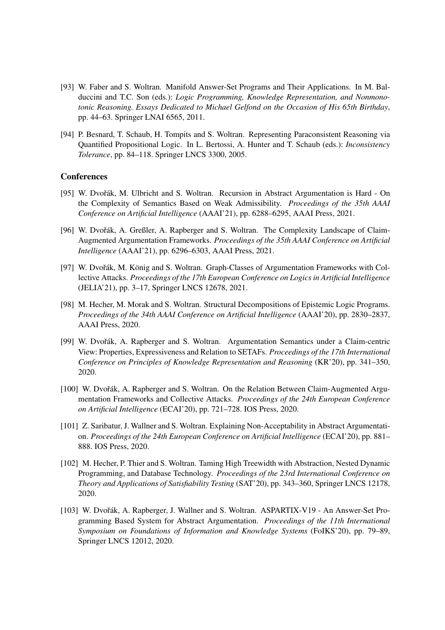- [93] W. Faber and S. Woltran. Manifold Answer-Set Programs and Their Applications. In M. Balduccini and T.C. Son (eds.): *Logic Programming, Knowledge Representation, and Nonmonotonic Reasoning. Essays Dedicated to Michael Gelfond on the Occasion of His 65th Birthday*, pp. 44–63. Springer LNAI 6565, 2011.
- [94] P. Besnard, T. Schaub, H. Tompits and S. Woltran. Representing Paraconsistent Reasoning via Quantified Propositional Logic. In L. Bertossi, A. Hunter and T. Schaub (eds.): *Inconsistency Tolerance*, pp. 84–118. Springer LNCS 3300, 2005.

### **Conferences**

- [95] W. Dvořák, M. Ulbricht and S. Woltran. Recursion in Abstract Argumentation is Hard On the Complexity of Semantics Based on Weak Admissibility. *Proceedings of the 35th AAAI Conference on Artificial Intelligence* (AAAI'21), pp. 6288–6295, AAAI Press, 2021.
- [96] W. Dvořák, A. Greßler, A. Rapberger and S. Woltran. The Complexity Landscape of Claim-Augmented Argumentation Frameworks. *Proceedings of the 35th AAAI Conference on Artificial Intelligence* (AAAI'21), pp. 6296–6303, AAAI Press, 2021.
- [97] W. Dvořák, M. König and S. Woltran. Graph-Classes of Argumentation Frameworks with Collective Attacks. *Proceedings of the 17th European Conference on Logics in Artificial Intelligence* (JELIA'21), pp. 3–17, Springer LNCS 12678, 2021.
- [98] M. Hecher, M. Morak and S. Woltran. Structural Decompositions of Epistemic Logic Programs. *Proceedings of the 34th AAAI Conference on Artificial Intelligence* (AAAI'20), pp. 2830–2837, AAAI Press, 2020.
- [99] W. Dvořák, A. Rapberger and S. Woltran. Argumentation Semantics under a Claim-centric View: Properties, Expressiveness and Relation to SETAFs. *Proceedings of the 17th International Conference on Principles of Knowledge Representation and Reasoning* (KR'20), pp. 341–350, 2020.
- [100] W. Dvořák, A. Rapberger and S. Woltran. On the Relation Between Claim-Augmented Argumentation Frameworks and Collective Attacks. *Proceedings of the 24th European Conference on Artificial Intelligence* (ECAI'20), pp. 721–728. IOS Press, 2020.
- [101] Z. Saribatur, J. Wallner and S. Woltran. Explaining Non-Acceptability in Abstract Argumentation. *Proceedings of the 24th European Conference on Artificial Intelligence* (ECAI'20), pp. 881– 888. IOS Press, 2020.
- [102] M. Hecher, P. Thier and S. Woltran. Taming High Treewidth with Abstraction, Nested Dynamic Programming, and Database Technology. *Proceedings of the 23rd International Conference on Theory and Applications of Satisfiability Testing* (SAT'20), pp. 343–360, Springer LNCS 12178, 2020.
- [103] W. Dvořák, A. Rapberger, J. Wallner and S. Woltran. ASPARTIX-V19 An Answer-Set Programming Based System for Abstract Argumentation. *Proceedings of the 11th International Symposium on Foundations of Information and Knowledge Systems* (FoIKS'20), pp. 79–89, Springer LNCS 12012, 2020.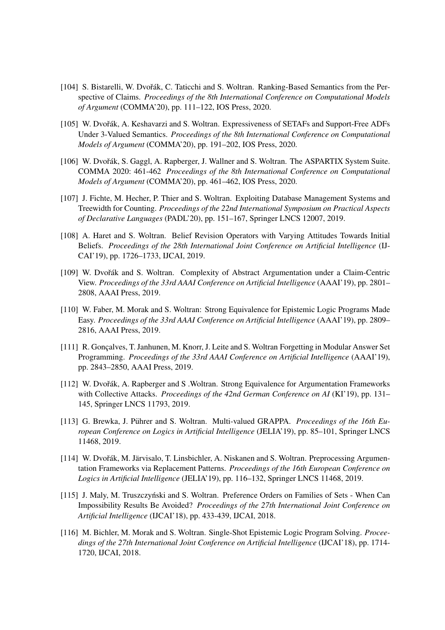- [104] S. Bistarelli, W. Dvořák, C. Taticchi and S. Woltran. Ranking-Based Semantics from the Perspective of Claims. *Proceedings of the 8th International Conference on Computational Models of Argument* (COMMA'20), pp. 111–122, IOS Press, 2020.
- [105] W. Dvořák, A. Keshavarzi and S. Woltran. Expressiveness of SETAFs and Support-Free ADFs Under 3-Valued Semantics. *Proceedings of the 8th International Conference on Computational Models of Argument* (COMMA'20), pp. 191–202, IOS Press, 2020.
- [106] W. Dvořák, S. Gaggl, A. Rapberger, J. Wallner and S. Woltran. The ASPARTIX System Suite. COMMA 2020: 461-462 *Proceedings of the 8th International Conference on Computational Models of Argument* (COMMA'20), pp. 461–462, IOS Press, 2020.
- [107] J. Fichte, M. Hecher, P. Thier and S. Woltran. Exploiting Database Management Systems and Treewidth for Counting. *Proceedings of the 22nd International Symposium on Practical Aspects of Declarative Languages* (PADL'20), pp. 151–167, Springer LNCS 12007, 2019.
- [108] A. Haret and S. Woltran. Belief Revision Operators with Varying Attitudes Towards Initial Beliefs. *Proceedings of the 28th International Joint Conference on Artificial Intelligence* (IJ-CAI'19), pp. 1726–1733, IJCAI, 2019.
- [109] W. Dvořák and S. Woltran. Complexity of Abstract Argumentation under a Claim-Centric View. *Proceedings of the 33rd AAAI Conference on Artificial Intelligence* (AAAI'19), pp. 2801– 2808, AAAI Press, 2019.
- [110] W. Faber, M. Morak and S. Woltran: Strong Equivalence for Epistemic Logic Programs Made Easy. *Proceedings of the 33rd AAAI Conference on Artificial Intelligence* (AAAI'19), pp. 2809– 2816, AAAI Press, 2019.
- [111] R. Gonçalves, T. Janhunen, M. Knorr, J. Leite and S. Woltran Forgetting in Modular Answer Set Programming. *Proceedings of the 33rd AAAI Conference on Artificial Intelligence* (AAAI'19), pp. 2843–2850, AAAI Press, 2019.
- [112] W. Dvořák, A. Rapberger and S. Woltran. Strong Equivalence for Argumentation Frameworks with Collective Attacks. *Proceedings of the 42nd German Conference on AI* (KI'19), pp. 131– 145, Springer LNCS 11793, 2019.
- [113] G. Brewka, J. Pührer and S. Woltran. Multi-valued GRAPPA. Proceedings of the 16th Eu*ropean Conference on Logics in Artificial Intelligence* (JELIA'19), pp. 85–101, Springer LNCS 11468, 2019.
- [114] W. Dvořák, M. Järvisalo, T. Linsbichler, A. Niskanen and S. Woltran. Preprocessing Argumentation Frameworks via Replacement Patterns. *Proceedings of the 16th European Conference on Logics in Artificial Intelligence* (JELIA'19), pp. 116–132, Springer LNCS 11468, 2019.
- [115] J. Maly, M. Truszczyński and S. Woltran. Preference Orders on Families of Sets When Can Impossibility Results Be Avoided? *Proceedings of the 27th International Joint Conference on Artificial Intelligence* (IJCAI'18), pp. 433-439, IJCAI, 2018.
- [116] M. Bichler, M. Morak and S. Woltran. Single-Shot Epistemic Logic Program Solving. *Proceedings of the 27th International Joint Conference on Artificial Intelligence* (IJCAI'18), pp. 1714- 1720, IJCAI, 2018.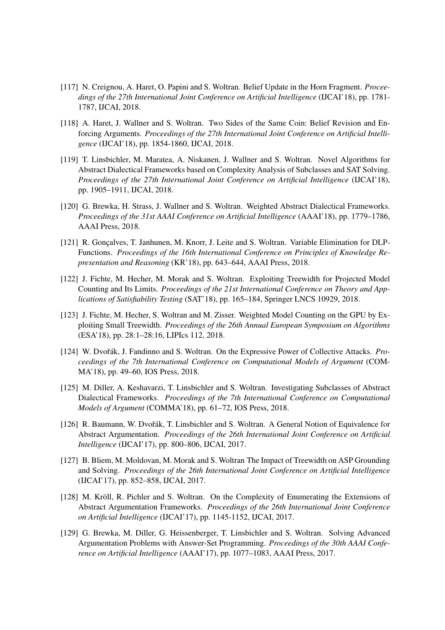- [117] N. Creignou, A. Haret, O. Papini and S. Woltran. Belief Update in the Horn Fragment. *Proceedings of the 27th International Joint Conference on Artificial Intelligence* (IJCAI'18), pp. 1781- 1787, IJCAI, 2018.
- [118] A. Haret, J. Wallner and S. Woltran. Two Sides of the Same Coin: Belief Revision and Enforcing Arguments. *Proceedings of the 27th International Joint Conference on Artificial Intelligence* (IJCAI'18), pp. 1854-1860, IJCAI, 2018.
- [119] T. Linsbichler, M. Maratea, A. Niskanen, J. Wallner and S. Woltran. Novel Algorithms for Abstract Dialectical Frameworks based on Complexity Analysis of Subclasses and SAT Solving. *Proceedings of the 27th International Joint Conference on Artificial Intelligence* (IJCAI'18), pp. 1905–1911, IJCAI, 2018.
- [120] G. Brewka, H. Strass, J. Wallner and S. Woltran. Weighted Abstract Dialectical Frameworks. *Proceedings of the 31st AAAI Conference on Artificial Intelligence* (AAAI'18), pp. 1779–1786, AAAI Press, 2018.
- [121] R. Goncalves, T. Janhunen, M. Knorr, J. Leite and S. Woltran. Variable Elimination for DLP-Functions. *Proceedings of the 16th International Conference on Principles of Knowledge Representation and Reasoning* (KR'18), pp. 643–644, AAAI Press, 2018.
- [122] J. Fichte, M. Hecher, M. Morak and S. Woltran. Exploiting Treewidth for Projected Model Counting and Its Limits. *Proceedings of the 21st International Conference on Theory and Applications of Satisfiability Testing* (SAT'18), pp. 165–184, Springer LNCS 10929, 2018.
- [123] J. Fichte, M. Hecher, S. Woltran and M. Zisser. Weighted Model Counting on the GPU by Exploiting Small Treewidth. *Proceedings of the 26th Annual European Symposium on Algorithms* (ESA'18), pp. 28:1–28:16, LIPIcs 112, 2018.
- [124] W. Dvořák, J. Fandinno and S. Woltran. On the Expressive Power of Collective Attacks. *Proceedings of the 7th International Conference on Computational Models of Argument* (COM-MA'18), pp. 49–60, IOS Press, 2018.
- [125] M. Diller, A. Keshavarzi, T. Linsbichler and S. Woltran. Investigating Subclasses of Abstract Dialectical Frameworks. *Proceedings of the 7th International Conference on Computational Models of Argument* (COMMA'18), pp. 61–72, IOS Press, 2018.
- [126] R. Baumann, W. Dvořák, T. Linsbichler and S. Woltran. A General Notion of Equivalence for Abstract Argumentation. *Proceedings of the 26th International Joint Conference on Artificial Intelligence* (IJCAI'17), pp. 800–806, IJCAI, 2017.
- [127] B. Bliem, M. Moldovan, M. Morak and S. Woltran The Impact of Treewidth on ASP Grounding and Solving. *Proceedings of the 26th International Joint Conference on Artificial Intelligence* (IJCAI'17), pp. 852–858, IJCAI, 2017.
- [128] M. Kröll, R. Pichler and S. Woltran. On the Complexity of Enumerating the Extensions of Abstract Argumentation Frameworks. *Proceedings of the 26th International Joint Conference on Artificial Intelligence* (IJCAI'17), pp. 1145-1152, IJCAI, 2017.
- [129] G. Brewka, M. Diller, G. Heissenberger, T. Linsbichler and S. Woltran. Solving Advanced Argumentation Problems with Answer-Set Programming. *Proceedings of the 30th AAAI Conference on Artificial Intelligence* (AAAI'17), pp. 1077–1083, AAAI Press, 2017.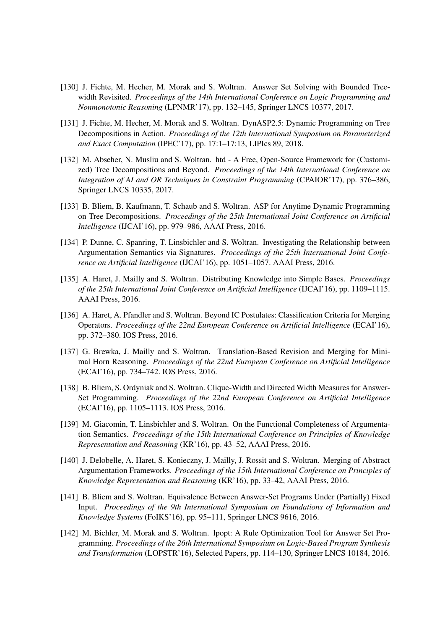- [130] J. Fichte, M. Hecher, M. Morak and S. Woltran. Answer Set Solving with Bounded Treewidth Revisited. *Proceedings of the 14th International Conference on Logic Programming and Nonmonotonic Reasoning* (LPNMR'17), pp. 132–145, Springer LNCS 10377, 2017.
- [131] J. Fichte, M. Hecher, M. Morak and S. Woltran. DynASP2.5: Dynamic Programming on Tree Decompositions in Action. *Proceedings of the 12th International Symposium on Parameterized and Exact Computation* (IPEC'17), pp. 17:1–17:13, LIPIcs 89, 2018.
- [132] M. Abseher, N. Musliu and S. Woltran. htd A Free, Open-Source Framework for (Customized) Tree Decompositions and Beyond. *Proceedings of the 14th International Conference on Integration of AI and OR Techniques in Constraint Programming* (CPAIOR'17), pp. 376–386, Springer LNCS 10335, 2017.
- [133] B. Bliem, B. Kaufmann, T. Schaub and S. Woltran. ASP for Anytime Dynamic Programming on Tree Decompositions. *Proceedings of the 25th International Joint Conference on Artificial Intelligence* (IJCAI'16), pp. 979–986, AAAI Press, 2016.
- [134] P. Dunne, C. Spanring, T. Linsbichler and S. Woltran. Investigating the Relationship between Argumentation Semantics via Signatures. *Proceedings of the 25th International Joint Conference on Artificial Intelligence* (IJCAI'16), pp. 1051–1057. AAAI Press, 2016.
- [135] A. Haret, J. Mailly and S. Woltran. Distributing Knowledge into Simple Bases. *Proceedings of the 25th International Joint Conference on Artificial Intelligence* (IJCAI'16), pp. 1109–1115. AAAI Press, 2016.
- [136] A. Haret, A. Pfandler and S. Woltran. Beyond IC Postulates: Classification Criteria for Merging Operators. *Proceedings of the 22nd European Conference on Artificial Intelligence* (ECAI'16), pp. 372–380. IOS Press, 2016.
- [137] G. Brewka, J. Mailly and S. Woltran. Translation-Based Revision and Merging for Minimal Horn Reasoning. *Proceedings of the 22nd European Conference on Artificial Intelligence* (ECAI'16), pp. 734–742. IOS Press, 2016.
- [138] B. Bliem, S. Ordyniak and S. Woltran. Clique-Width and Directed Width Measures for Answer-Set Programming. *Proceedings of the 22nd European Conference on Artificial Intelligence* (ECAI'16), pp. 1105–1113. IOS Press, 2016.
- [139] M. Giacomin, T. Linsbichler and S. Woltran. On the Functional Completeness of Argumentation Semantics. *Proceedings of the 15th International Conference on Principles of Knowledge Representation and Reasoning* (KR'16), pp. 43–52, AAAI Press, 2016.
- [140] J. Delobelle, A. Haret, S. Konieczny, J. Mailly, J. Rossit and S. Woltran. Merging of Abstract Argumentation Frameworks. *Proceedings of the 15th International Conference on Principles of Knowledge Representation and Reasoning* (KR'16), pp. 33–42, AAAI Press, 2016.
- [141] B. Bliem and S. Woltran. Equivalence Between Answer-Set Programs Under (Partially) Fixed Input. *Proceedings of the 9th International Symposium on Foundations of Information and Knowledge Systems* (FoIKS'16), pp. 95–111, Springer LNCS 9616, 2016.
- [142] M. Bichler, M. Morak and S. Woltran. lpopt: A Rule Optimization Tool for Answer Set Programming. *Proceedings of the 26th International Symposium on Logic-Based Program Synthesis and Transformation* (LOPSTR'16), Selected Papers, pp. 114–130, Springer LNCS 10184, 2016.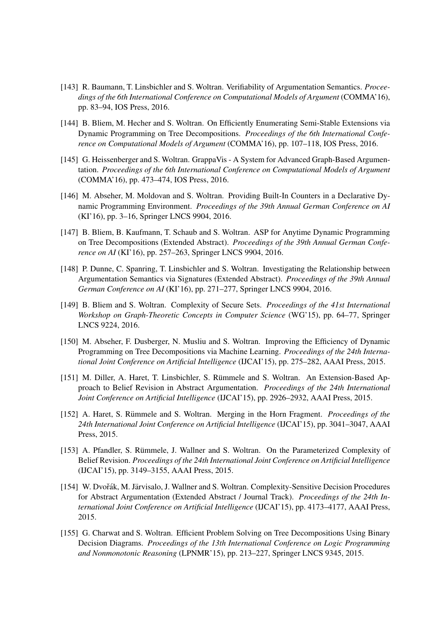- [143] R. Baumann, T. Linsbichler and S. Woltran. Verifiability of Argumentation Semantics. *Proceedings of the 6th International Conference on Computational Models of Argument* (COMMA'16), pp. 83–94, IOS Press, 2016.
- [144] B. Bliem, M. Hecher and S. Woltran. On Efficiently Enumerating Semi-Stable Extensions via Dynamic Programming on Tree Decompositions. *Proceedings of the 6th International Conference on Computational Models of Argument* (COMMA'16), pp. 107–118, IOS Press, 2016.
- [145] G. Heissenberger and S. Woltran. GrappaVis A System for Advanced Graph-Based Argumentation. *Proceedings of the 6th International Conference on Computational Models of Argument* (COMMA'16), pp. 473–474, IOS Press, 2016.
- [146] M. Abseher, M. Moldovan and S. Woltran. Providing Built-In Counters in a Declarative Dynamic Programming Environment. *Proceedings of the 39th Annual German Conference on AI* (KI'16), pp. 3–16, Springer LNCS 9904, 2016.
- [147] B. Bliem, B. Kaufmann, T. Schaub and S. Woltran. ASP for Anytime Dynamic Programming on Tree Decompositions (Extended Abstract). *Proceedings of the 39th Annual German Conference on AI* (KI'16), pp. 257–263, Springer LNCS 9904, 2016.
- [148] P. Dunne, C. Spanring, T. Linsbichler and S. Woltran. Investigating the Relationship between Argumentation Semantics via Signatures (Extended Abstract). *Proceedings of the 39th Annual German Conference on AI* (KI'16), pp. 271–277, Springer LNCS 9904, 2016.
- [149] B. Bliem and S. Woltran. Complexity of Secure Sets. *Proceedings of the 41st International Workshop on Graph-Theoretic Concepts in Computer Science* (WG'15), pp. 64–77, Springer LNCS 9224, 2016.
- [150] M. Abseher, F. Dusberger, N. Musliu and S. Woltran. Improving the Efficiency of Dynamic Programming on Tree Decompositions via Machine Learning. *Proceedings of the 24th International Joint Conference on Artificial Intelligence* (IJCAI'15), pp. 275–282, AAAI Press, 2015.
- [151] M. Diller, A. Haret, T. Linsbichler, S. Rümmele and S. Woltran. An Extension-Based Approach to Belief Revision in Abstract Argumentation. *Proceedings of the 24th International Joint Conference on Artificial Intelligence* (IJCAI'15), pp. 2926–2932, AAAI Press, 2015.
- [152] A. Haret, S. Rümmele and S. Woltran. Merging in the Horn Fragment. *Proceedings of the 24th International Joint Conference on Artificial Intelligence* (IJCAI'15), pp. 3041–3047, AAAI Press, 2015.
- [153] A. Pfandler, S. Rümmele, J. Wallner and S. Woltran. On the Parameterized Complexity of Belief Revision. *Proceedings of the 24th International Joint Conference on Artificial Intelligence* (IJCAI'15), pp. 3149–3155, AAAI Press, 2015.
- [154] W. Dvořák, M. Järvisalo, J. Wallner and S. Woltran. Complexity-Sensitive Decision Procedures for Abstract Argumentation (Extended Abstract / Journal Track). *Proceedings of the 24th International Joint Conference on Artificial Intelligence* (IJCAI'15), pp. 4173–4177, AAAI Press, 2015.
- [155] G. Charwat and S. Woltran. Efficient Problem Solving on Tree Decompositions Using Binary Decision Diagrams. *Proceedings of the 13th International Conference on Logic Programming and Nonmonotonic Reasoning* (LPNMR'15), pp. 213–227, Springer LNCS 9345, 2015.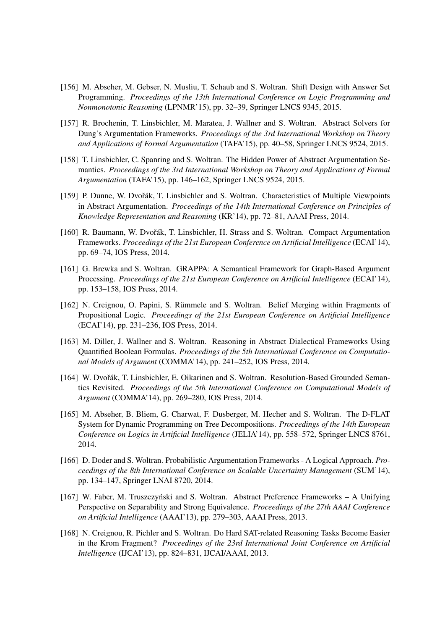- [156] M. Abseher, M. Gebser, N. Musliu, T. Schaub and S. Woltran. Shift Design with Answer Set Programming. *Proceedings of the 13th International Conference on Logic Programming and Nonmonotonic Reasoning* (LPNMR'15), pp. 32–39, Springer LNCS 9345, 2015.
- [157] R. Brochenin, T. Linsbichler, M. Maratea, J. Wallner and S. Woltran. Abstract Solvers for Dung's Argumentation Frameworks. *Proceedings of the 3rd International Workshop on Theory and Applications of Formal Argumentation* (TAFA'15), pp. 40–58, Springer LNCS 9524, 2015.
- [158] T. Linsbichler, C. Spanring and S. Woltran. The Hidden Power of Abstract Argumentation Semantics. *Proceedings of the 3rd International Workshop on Theory and Applications of Formal Argumentation* (TAFA'15), pp. 146–162, Springer LNCS 9524, 2015.
- [159] P. Dunne, W. Dvořák, T. Linsbichler and S. Woltran. Characteristics of Multiple Viewpoints in Abstract Argumentation. *Proceedings of the 14th International Conference on Principles of Knowledge Representation and Reasoning* (KR'14), pp. 72–81, AAAI Press, 2014.
- [160] R. Baumann, W. Dvořák, T. Linsbichler, H. Strass and S. Woltran. Compact Argumentation Frameworks. *Proceedings of the 21st European Conference on Artificial Intelligence* (ECAI'14), pp. 69–74, IOS Press, 2014.
- [161] G. Brewka and S. Woltran. GRAPPA: A Semantical Framework for Graph-Based Argument Processing. *Proceedings of the 21st European Conference on Artificial Intelligence* (ECAI'14), pp. 153–158, IOS Press, 2014.
- [162] N. Creignou, O. Papini, S. Rümmele and S. Woltran. Belief Merging within Fragments of Propositional Logic. *Proceedings of the 21st European Conference on Artificial Intelligence* (ECAI'14), pp. 231–236, IOS Press, 2014.
- [163] M. Diller, J. Wallner and S. Woltran. Reasoning in Abstract Dialectical Frameworks Using Quantified Boolean Formulas. *Proceedings of the 5th International Conference on Computational Models of Argument* (COMMA'14), pp. 241–252, IOS Press, 2014.
- [164] W. Dvořák, T. Linsbichler, E. Oikarinen and S. Woltran. Resolution-Based Grounded Semantics Revisited. *Proceedings of the 5th International Conference on Computational Models of Argument* (COMMA'14), pp. 269–280, IOS Press, 2014.
- [165] M. Abseher, B. Bliem, G. Charwat, F. Dusberger, M. Hecher and S. Woltran. The D-FLAT System for Dynamic Programming on Tree Decompositions. *Proceedings of the 14th European Conference on Logics in Artificial Intelligence* (JELIA'14), pp. 558–572, Springer LNCS 8761, 2014.
- [166] D. Doder and S. Woltran. Probabilistic Argumentation Frameworks A Logical Approach. *Proceedings of the 8th International Conference on Scalable Uncertainty Management* (SUM'14), pp. 134–147, Springer LNAI 8720, 2014.
- [167] W. Faber, M. Truszczynski and S. Woltran. Abstract Preference Frameworks A Unifying Perspective on Separability and Strong Equivalence. *Proceedings of the 27th AAAI Conference on Artificial Intelligence* (AAAI'13), pp. 279–303, AAAI Press, 2013.
- [168] N. Creignou, R. Pichler and S. Woltran. Do Hard SAT-related Reasoning Tasks Become Easier in the Krom Fragment? *Proceedings of the 23rd International Joint Conference on Artificial Intelligence* (IJCAI'13), pp. 824–831, IJCAI/AAAI, 2013.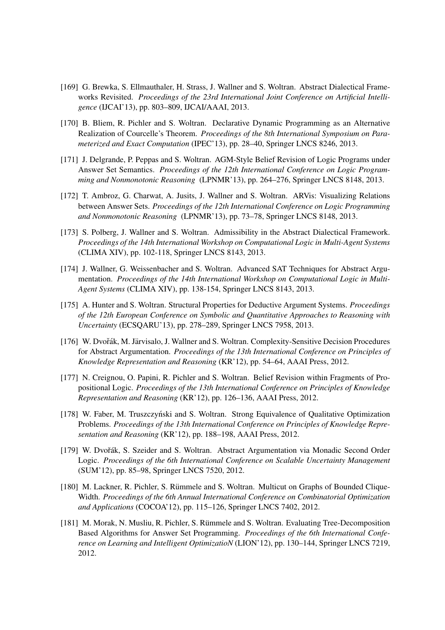- [169] G. Brewka, S. Ellmauthaler, H. Strass, J. Wallner and S. Woltran. Abstract Dialectical Frameworks Revisited. *Proceedings of the 23rd International Joint Conference on Artificial Intelligence* (IJCAI'13), pp. 803–809, IJCAI/AAAI, 2013.
- [170] B. Bliem, R. Pichler and S. Woltran. Declarative Dynamic Programming as an Alternative Realization of Courcelle's Theorem. *Proceedings of the 8th International Symposium on Parameterized and Exact Computation* (IPEC'13), pp. 28–40, Springer LNCS 8246, 2013.
- [171] J. Delgrande, P. Peppas and S. Woltran. AGM-Style Belief Revision of Logic Programs under Answer Set Semantics. *Proceedings of the 12th International Conference on Logic Programming and Nonmonotonic Reasoning* (LPNMR'13), pp. 264–276, Springer LNCS 8148, 2013.
- [172] T. Ambroz, G. Charwat, A. Jusits, J. Wallner and S. Woltran. ARVis: Visualizing Relations between Answer Sets. *Proceedings of the 12th International Conference on Logic Programming and Nonmonotonic Reasoning* (LPNMR'13), pp. 73–78, Springer LNCS 8148, 2013.
- [173] S. Polberg, J. Wallner and S. Woltran. Admissibility in the Abstract Dialectical Framework. *Proceedings of the 14th International Workshop on Computational Logic in Multi-Agent Systems* (CLIMA XIV), pp. 102-118, Springer LNCS 8143, 2013.
- [174] J. Wallner, G. Weissenbacher and S. Woltran. Advanced SAT Techniques for Abstract Argumentation. *Proceedings of the 14th International Workshop on Computational Logic in Multi-Agent Systems* (CLIMA XIV), pp. 138-154, Springer LNCS 8143, 2013.
- [175] A. Hunter and S. Woltran. Structural Properties for Deductive Argument Systems. *Proceedings of the 12th European Conference on Symbolic and Quantitative Approaches to Reasoning with Uncertainty* (ECSQARU'13), pp. 278–289, Springer LNCS 7958, 2013.
- [176] W. Dvořák, M. Järvisalo, J. Wallner and S. Woltran. Complexity-Sensitive Decision Procedures for Abstract Argumentation. *Proceedings of the 13th International Conference on Principles of Knowledge Representation and Reasoning* (KR'12), pp. 54–64, AAAI Press, 2012.
- [177] N. Creignou, O. Papini, R. Pichler and S. Woltran. Belief Revision within Fragments of Propositional Logic. *Proceedings of the 13th International Conference on Principles of Knowledge Representation and Reasoning* (KR'12), pp. 126–136, AAAI Press, 2012.
- [178] W. Faber, M. Truszczyński and S. Woltran. Strong Equivalence of Qualitative Optimization Problems. *Proceedings of the 13th International Conference on Principles of Knowledge Representation and Reasoning* (KR'12), pp. 188–198, AAAI Press, 2012.
- [179] W. Dvořák, S. Szeider and S. Woltran. Abstract Argumentation via Monadic Second Order Logic. *Proceedings of the 6th International Conference on Scalable Uncertainty Management* (SUM'12), pp. 85–98, Springer LNCS 7520, 2012.
- [180] M. Lackner, R. Pichler, S. Rümmele and S. Woltran. Multicut on Graphs of Bounded Clique-Width. *Proceedings of the 6th Annual International Conference on Combinatorial Optimization and Applications* (COCOA'12), pp. 115–126, Springer LNCS 7402, 2012.
- [181] M. Morak, N. Musliu, R. Pichler, S. Rümmele and S. Woltran. Evaluating Tree-Decomposition Based Algorithms for Answer Set Programming. *Proceedings of the 6th International Conference on Learning and Intelligent OptimizatioN* (LION'12), pp. 130–144, Springer LNCS 7219, 2012.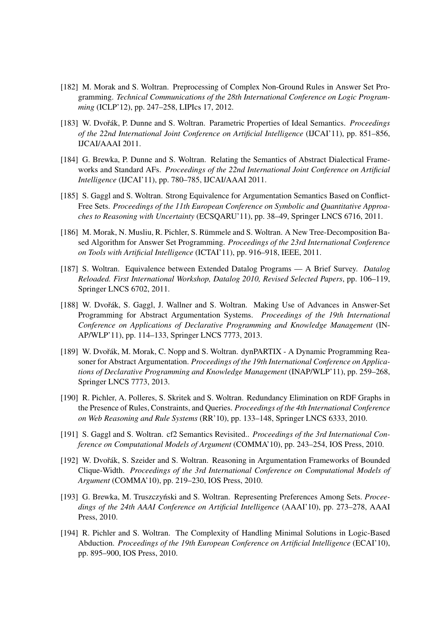- [182] M. Morak and S. Woltran. Preprocessing of Complex Non-Ground Rules in Answer Set Programming. *Technical Communications of the 28th International Conference on Logic Programming* (ICLP'12), pp. 247–258, LIPIcs 17, 2012.
- [183] W. Dvořák, P. Dunne and S. Woltran. Parametric Properties of Ideal Semantics. *Proceedings of the 22nd International Joint Conference on Artificial Intelligence* (IJCAI'11), pp. 851–856, IJCAI/AAAI 2011.
- [184] G. Brewka, P. Dunne and S. Woltran. Relating the Semantics of Abstract Dialectical Frameworks and Standard AFs. *Proceedings of the 22nd International Joint Conference on Artificial Intelligence* (IJCAI'11), pp. 780–785, IJCAI/AAAI 2011.
- [185] S. Gaggl and S. Woltran. Strong Equivalence for Argumentation Semantics Based on Conflict-Free Sets. *Proceedings of the 11th European Conference on Symbolic and Quantitative Approaches to Reasoning with Uncertainty* (ECSQARU'11), pp. 38–49, Springer LNCS 6716, 2011.
- [186] M. Morak, N. Musliu, R. Pichler, S. Rümmele and S. Woltran. A New Tree-Decomposition Based Algorithm for Answer Set Programming. *Proceedings of the 23rd International Conference on Tools with Artificial Intelligence* (ICTAI'11), pp. 916–918, IEEE, 2011.
- [187] S. Woltran. Equivalence between Extended Datalog Programs A Brief Survey. *Datalog Reloaded. First International Workshop, Datalog 2010, Revised Selected Papers*, pp. 106–119, Springer LNCS 6702, 2011.
- [188] W. Dvořák, S. Gaggl, J. Wallner and S. Woltran. Making Use of Advances in Answer-Set Programming for Abstract Argumentation Systems. *Proceedings of the 19th International Conference on Applications of Declarative Programming and Knowledge Management* (IN-AP/WLP'11), pp. 114–133, Springer LNCS 7773, 2013.
- [189] W. Dvořák, M. Morak, C. Nopp and S. Woltran. dynPARTIX A Dynamic Programming Reasoner for Abstract Argumentation. *Proceedings of the 19th International Conference on Applications of Declarative Programming and Knowledge Management* (INAP/WLP'11), pp. 259–268, Springer LNCS 7773, 2013.
- [190] R. Pichler, A. Polleres, S. Skritek and S. Woltran. Redundancy Elimination on RDF Graphs in the Presence of Rules, Constraints, and Queries. *Proceedings of the 4th International Conference on Web Reasoning and Rule Systems* (RR'10), pp. 133–148, Springer LNCS 6333, 2010.
- [191] S. Gaggl and S. Woltran. cf2 Semantics Revisited.. *Proceedings of the 3rd International Conference on Computational Models of Argument* (COMMA'10), pp. 243–254, IOS Press, 2010.
- [192] W. Dvořák, S. Szeider and S. Woltran. Reasoning in Argumentation Frameworks of Bounded Clique-Width. *Proceedings of the 3rd International Conference on Computational Models of Argument* (COMMA'10), pp. 219–230, IOS Press, 2010.
- [193] G. Brewka, M. Truszczyński and S. Woltran. Representing Preferences Among Sets. *Proceedings of the 24th AAAI Conference on Artificial Intelligence* (AAAI'10), pp. 273–278, AAAI Press, 2010.
- [194] R. Pichler and S. Woltran. The Complexity of Handling Minimal Solutions in Logic-Based Abduction. *Proceedings of the 19th European Conference on Artificial Intelligence* (ECAI'10), pp. 895–900, IOS Press, 2010.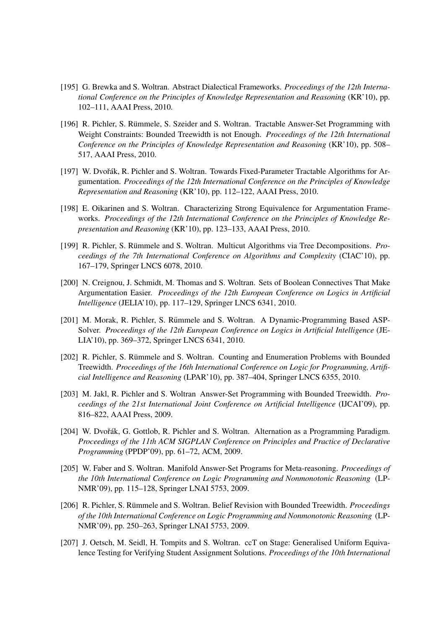- [195] G. Brewka and S. Woltran. Abstract Dialectical Frameworks. *Proceedings of the 12th International Conference on the Principles of Knowledge Representation and Reasoning* (KR'10), pp. 102–111, AAAI Press, 2010.
- [196] R. Pichler, S. Rümmele, S. Szeider and S. Woltran. Tractable Answer-Set Programming with Weight Constraints: Bounded Treewidth is not Enough. *Proceedings of the 12th International Conference on the Principles of Knowledge Representation and Reasoning* (KR'10), pp. 508– 517, AAAI Press, 2010.
- [197] W. Dvořák, R. Pichler and S. Woltran. Towards Fixed-Parameter Tractable Algorithms for Argumentation. *Proceedings of the 12th International Conference on the Principles of Knowledge Representation and Reasoning* (KR'10), pp. 112–122, AAAI Press, 2010.
- [198] E. Oikarinen and S. Woltran. Characterizing Strong Equivalence for Argumentation Frameworks. *Proceedings of the 12th International Conference on the Principles of Knowledge Representation and Reasoning* (KR'10), pp. 123–133, AAAI Press, 2010.
- [199] R. Pichler, S. Rümmele and S. Woltran. Multicut Algorithms via Tree Decompositions. *Proceedings of the 7th International Conference on Algorithms and Complexity* (CIAC'10), pp. 167–179, Springer LNCS 6078, 2010.
- [200] N. Creignou, J. Schmidt, M. Thomas and S. Woltran. Sets of Boolean Connectives That Make Argumentation Easier. *Proceedings of the 12th European Conference on Logics in Artificial Intelligence* (JELIA'10), pp. 117–129, Springer LNCS 6341, 2010.
- [201] M. Morak, R. Pichler, S. Rümmele and S. Woltran. A Dynamic-Programming Based ASP-Solver. *Proceedings of the 12th European Conference on Logics in Artificial Intelligence* (JE-LIA'10), pp. 369–372, Springer LNCS 6341, 2010.
- [202] R. Pichler, S. Rümmele and S. Woltran. Counting and Enumeration Problems with Bounded Treewidth. *Proceedings of the 16th International Conference on Logic for Programming, Artificial Intelligence and Reasoning* (LPAR'10), pp. 387–404, Springer LNCS 6355, 2010.
- [203] M. Jakl, R. Pichler and S. Woltran Answer-Set Programming with Bounded Treewidth. *Proceedings of the 21st International Joint Conference on Artificial Intelligence* (IJCAI'09), pp. 816–822, AAAI Press, 2009.
- [204] W. Dvořák, G. Gottlob, R. Pichler and S. Woltran. Alternation as a Programming Paradigm. *Proceedings of the 11th ACM SIGPLAN Conference on Principles and Practice of Declarative Programming* (PPDP'09), pp. 61–72, ACM, 2009.
- [205] W. Faber and S. Woltran. Manifold Answer-Set Programs for Meta-reasoning. *Proceedings of the 10th International Conference on Logic Programming and Nonmonotonic Reasoning* (LP-NMR'09), pp. 115–128, Springer LNAI 5753, 2009.
- [206] R. Pichler, S. Rümmele and S. Woltran. Belief Revision with Bounded Treewidth. *Proceedings of the 10th International Conference on Logic Programming and Nonmonotonic Reasoning* (LP-NMR'09), pp. 250–263, Springer LNAI 5753, 2009.
- [207] J. Oetsch, M. Seidl, H. Tompits and S. Woltran. ccT on Stage: Generalised Uniform Equivalence Testing for Verifying Student Assignment Solutions. *Proceedings of the 10th International*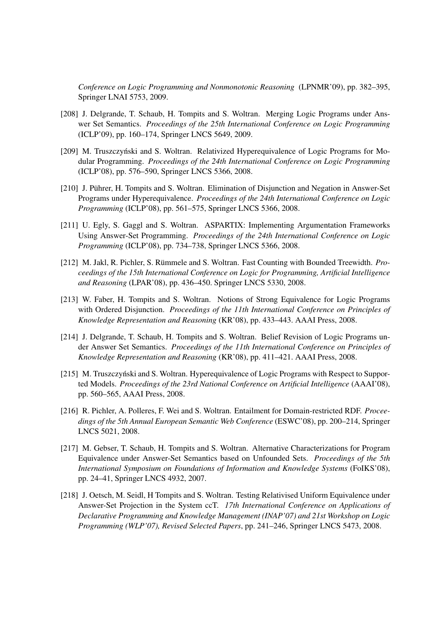*Conference on Logic Programming and Nonmonotonic Reasoning* (LPNMR'09), pp. 382–395, Springer LNAI 5753, 2009.

- [208] J. Delgrande, T. Schaub, H. Tompits and S. Woltran. Merging Logic Programs under Answer Set Semantics. *Proceedings of the 25th International Conference on Logic Programming* (ICLP'09), pp. 160–174, Springer LNCS 5649, 2009.
- [209] M. Truszczyński and S. Woltran. Relativized Hyperequivalence of Logic Programs for Modular Programming. *Proceedings of the 24th International Conference on Logic Programming* (ICLP'08), pp. 576–590, Springer LNCS 5366, 2008.
- [210] J. Pührer, H. Tompits and S. Woltran. Elimination of Disjunction and Negation in Answer-Set Programs under Hyperequivalence. *Proceedings of the 24th International Conference on Logic Programming* (ICLP'08), pp. 561–575, Springer LNCS 5366, 2008.
- [211] U. Egly, S. Gaggl and S. Woltran. ASPARTIX: Implementing Argumentation Frameworks Using Answer-Set Programming. *Proceedings of the 24th International Conference on Logic Programming* (ICLP'08), pp. 734–738, Springer LNCS 5366, 2008.
- [212] M. Jakl, R. Pichler, S. Rümmele and S. Woltran. Fast Counting with Bounded Treewidth. *Proceedings of the 15th International Conference on Logic for Programming, Artificial Intelligence and Reasoning* (LPAR'08), pp. 436–450. Springer LNCS 5330, 2008.
- [213] W. Faber, H. Tompits and S. Woltran. Notions of Strong Equivalence for Logic Programs with Ordered Disjunction. *Proceedings of the 11th International Conference on Principles of Knowledge Representation and Reasoning* (KR'08), pp. 433–443. AAAI Press, 2008.
- [214] J. Delgrande, T. Schaub, H. Tompits and S. Woltran. Belief Revision of Logic Programs under Answer Set Semantics. *Proceedings of the 11th International Conference on Principles of Knowledge Representation and Reasoning* (KR'08), pp. 411–421. AAAI Press, 2008.
- [215] M. Truszczyn ski and S. Woltran. Hyperequivalence of Logic Programs with Respect to Supported Models. *Proceedings of the 23rd National Conference on Artificial Intelligence* (AAAI'08), pp. 560–565, AAAI Press, 2008.
- [216] R. Pichler, A. Polleres, F. Wei and S. Woltran. Entailment for Domain-restricted RDF. *Proceedings of the 5th Annual European Semantic Web Conference* (ESWC'08), pp. 200–214, Springer LNCS 5021, 2008.
- [217] M. Gebser, T. Schaub, H. Tompits and S. Woltran. Alternative Characterizations for Program Equivalence under Answer-Set Semantics based on Unfounded Sets. *Proceedings of the 5th International Symposium on Foundations of Information and Knowledge Systems* (FoIKS'08), pp. 24–41, Springer LNCS 4932, 2007.
- [218] J. Oetsch, M. Seidl, H Tompits and S. Woltran. Testing Relativised Uniform Equivalence under Answer-Set Projection in the System ccT. *17th International Conference on Applications of Declarative Programming and Knowledge Management (INAP'07) and 21st Workshop on Logic Programming (WLP'07), Revised Selected Papers*, pp. 241–246, Springer LNCS 5473, 2008.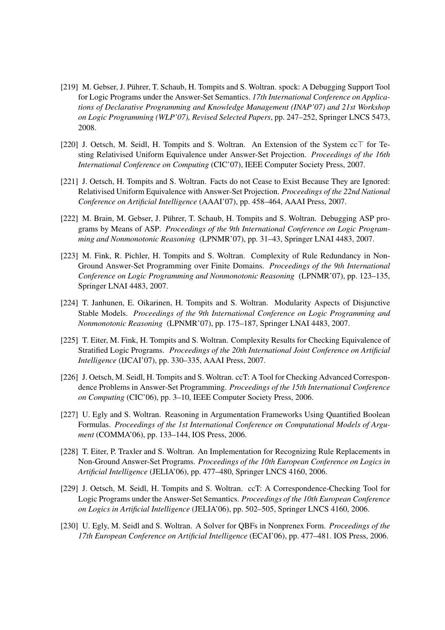- [219] M. Gebser, J. Pührer, T. Schaub, H. Tompits and S. Woltran. spock: A Debugging Support Tool for Logic Programs under the Answer-Set Semantics. *17th International Conference on Applications of Declarative Programming and Knowledge Management (INAP'07) and 21st Workshop on Logic Programming (WLP'07), Revised Selected Papers*, pp. 247–252, Springer LNCS 5473, 2008.
- [220] J. Oetsch, M. Seidl, H. Tompits and S. Woltran. An Extension of the System  $cc\top$  for Testing Relativised Uniform Equivalence under Answer-Set Projection. *Proceedings of the 16th International Conference on Computing* (CIC'07), IEEE Computer Society Press, 2007.
- [221] J. Oetsch, H. Tompits and S. Woltran. Facts do not Cease to Exist Because They are Ignored: Relativised Uniform Equivalence with Answer-Set Projection. *Proceedings of the 22nd National Conference on Artificial Intelligence* (AAAI'07), pp. 458–464, AAAI Press, 2007.
- [222] M. Brain, M. Gebser, J. Pührer, T. Schaub, H. Tompits and S. Woltran. Debugging ASP programs by Means of ASP. *Proceedings of the 9th International Conference on Logic Programming and Nonmonotonic Reasoning* (LPNMR'07), pp. 31–43, Springer LNAI 4483, 2007.
- [223] M. Fink, R. Pichler, H. Tompits and S. Woltran. Complexity of Rule Redundancy in Non-Ground Answer-Set Programming over Finite Domains. *Proceedings of the 9th International Conference on Logic Programming and Nonmonotonic Reasoning* (LPNMR'07), pp. 123–135, Springer LNAI 4483, 2007.
- [224] T. Janhunen, E. Oikarinen, H. Tompits and S. Woltran. Modularity Aspects of Disjunctive Stable Models. *Proceedings of the 9th International Conference on Logic Programming and Nonmonotonic Reasoning* (LPNMR'07), pp. 175–187, Springer LNAI 4483, 2007.
- [225] T. Eiter, M. Fink, H. Tompits and S. Woltran. Complexity Results for Checking Equivalence of Stratified Logic Programs. *Proceedings of the 20th International Joint Conference on Artificial Intelligence* (IJCAI'07), pp. 330–335, AAAI Press, 2007.
- [226] J. Oetsch, M. Seidl, H. Tompits and S. Woltran. ccT: A Tool for Checking Advanced Correspondence Problems in Answer-Set Programming. *Proceedings of the 15th International Conference on Computing* (CIC'06), pp. 3–10, IEEE Computer Society Press, 2006.
- [227] U. Egly and S. Woltran. Reasoning in Argumentation Frameworks Using Quantified Boolean Formulas. *Proceedings of the 1st International Conference on Computational Models of Argument* (COMMA'06), pp. 133–144, IOS Press, 2006.
- [228] T. Eiter, P. Traxler and S. Woltran. An Implementation for Recognizing Rule Replacements in Non-Ground Answer-Set Programs. *Proceedings of the 10th European Conference on Logics in Artificial Intelligence* (JELIA'06), pp. 477–480, Springer LNCS 4160, 2006.
- [229] J. Oetsch, M. Seidl, H. Tompits and S. Woltran. ccT: A Correspondence-Checking Tool for Logic Programs under the Answer-Set Semantics. *Proceedings of the 10th European Conference on Logics in Artificial Intelligence* (JELIA'06), pp. 502–505, Springer LNCS 4160, 2006.
- [230] U. Egly, M. Seidl and S. Woltran. A Solver for QBFs in Nonprenex Form. *Proceedings of the 17th European Conference on Artificial Intelligence* (ECAI'06), pp. 477–481. IOS Press, 2006.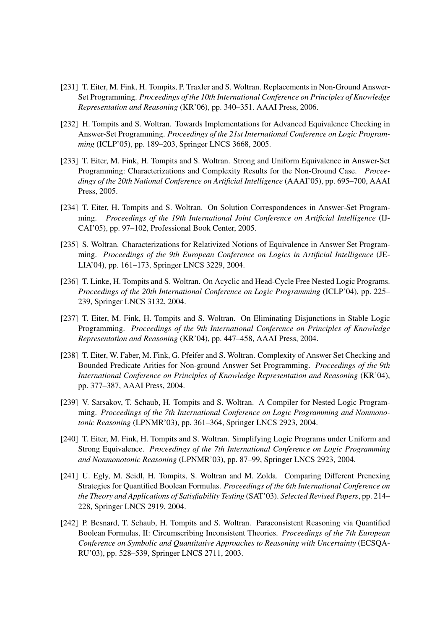- [231] T. Eiter, M. Fink, H. Tompits, P. Traxler and S. Woltran. Replacements in Non-Ground Answer-Set Programming. *Proceedings of the 10th International Conference on Principles of Knowledge Representation and Reasoning* (KR'06), pp. 340–351. AAAI Press, 2006.
- [232] H. Tompits and S. Woltran. Towards Implementations for Advanced Equivalence Checking in Answer-Set Programming. *Proceedings of the 21st International Conference on Logic Programming* (ICLP'05), pp. 189–203, Springer LNCS 3668, 2005.
- [233] T. Eiter, M. Fink, H. Tompits and S. Woltran. Strong and Uniform Equivalence in Answer-Set Programming: Characterizations and Complexity Results for the Non-Ground Case. *Proceedings of the 20th National Conference on Artificial Intelligence* (AAAI'05), pp. 695–700, AAAI Press, 2005.
- [234] T. Eiter, H. Tompits and S. Woltran. On Solution Correspondences in Answer-Set Programming. *Proceedings of the 19th International Joint Conference on Artificial Intelligence* (IJ-CAI'05), pp. 97–102, Professional Book Center, 2005.
- [235] S. Woltran. Characterizations for Relativized Notions of Equivalence in Answer Set Programming. *Proceedings of the 9th European Conference on Logics in Artificial Intelligence* (JE-LIA'04), pp. 161–173, Springer LNCS 3229, 2004.
- [236] T. Linke, H. Tompits and S. Woltran. On Acyclic and Head-Cycle Free Nested Logic Programs. *Proceedings of the 20th International Conference on Logic Programming* (ICLP'04), pp. 225– 239, Springer LNCS 3132, 2004.
- [237] T. Eiter, M. Fink, H. Tompits and S. Woltran. On Eliminating Disjunctions in Stable Logic Programming. *Proceedings of the 9th International Conference on Principles of Knowledge Representation and Reasoning* (KR'04), pp. 447–458, AAAI Press, 2004.
- [238] T. Eiter, W. Faber, M. Fink, G. Pfeifer and S. Woltran. Complexity of Answer Set Checking and Bounded Predicate Arities for Non-ground Answer Set Programming. *Proceedings of the 9th International Conference on Principles of Knowledge Representation and Reasoning* (KR'04), pp. 377–387, AAAI Press, 2004.
- [239] V. Sarsakov, T. Schaub, H. Tompits and S. Woltran. A Compiler for Nested Logic Programming. *Proceedings of the 7th International Conference on Logic Programming and Nonmonotonic Reasoning* (LPNMR'03), pp. 361–364, Springer LNCS 2923, 2004.
- [240] T. Eiter, M. Fink, H. Tompits and S. Woltran. Simplifying Logic Programs under Uniform and Strong Equivalence. *Proceedings of the 7th International Conference on Logic Programming and Nonmonotonic Reasoning* (LPNMR'03), pp. 87–99, Springer LNCS 2923, 2004.
- [241] U. Egly, M. Seidl, H. Tompits, S. Woltran and M. Zolda. Comparing Different Prenexing Strategies for Quantified Boolean Formulas. *Proceedings of the 6th International Conference on the Theory and Applications of Satisfiability Testing* (SAT'03). *Selected Revised Papers*, pp. 214– 228, Springer LNCS 2919, 2004.
- [242] P. Besnard, T. Schaub, H. Tompits and S. Woltran. Paraconsistent Reasoning via Quantified Boolean Formulas, II: Circumscribing Inconsistent Theories. *Proceedings of the 7th European Conference on Symbolic and Quantitative Approaches to Reasoning with Uncertainty* (ECSQA-RU'03), pp. 528–539, Springer LNCS 2711, 2003.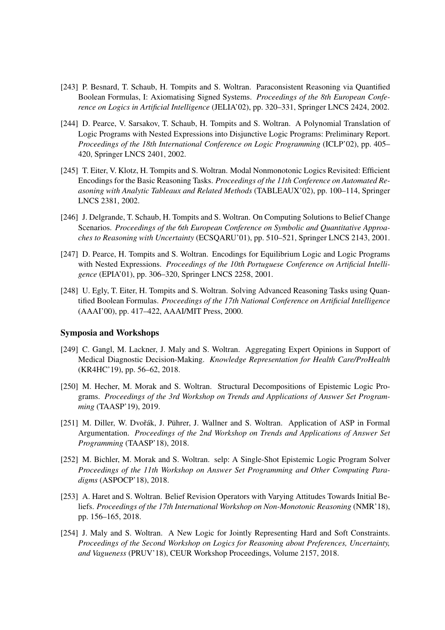- [243] P. Besnard, T. Schaub, H. Tompits and S. Woltran. Paraconsistent Reasoning via Quantified Boolean Formulas, I: Axiomatising Signed Systems. *Proceedings of the 8th European Conference on Logics in Artificial Intelligence* (JELIA'02), pp. 320–331, Springer LNCS 2424, 2002.
- [244] D. Pearce, V. Sarsakov, T. Schaub, H. Tompits and S. Woltran. A Polynomial Translation of Logic Programs with Nested Expressions into Disjunctive Logic Programs: Preliminary Report. *Proceedings of the 18th International Conference on Logic Programming* (ICLP'02), pp. 405– 420, Springer LNCS 2401, 2002.
- [245] T. Eiter, V. Klotz, H. Tompits and S. Woltran. Modal Nonmonotonic Logics Revisited: Efficient Encodings for the Basic Reasoning Tasks. *Proceedings of the 11th Conference on Automated Reasoning with Analytic Tableaux and Related Methods* (TABLEAUX'02), pp. 100–114, Springer LNCS 2381, 2002.
- [246] J. Delgrande, T. Schaub, H. Tompits and S. Woltran. On Computing Solutions to Belief Change Scenarios. *Proceedings of the 6th European Conference on Symbolic and Quantitative Approaches to Reasoning with Uncertainty* (ECSQARU'01), pp. 510–521, Springer LNCS 2143, 2001.
- [247] D. Pearce, H. Tompits and S. Woltran. Encodings for Equilibrium Logic and Logic Programs with Nested Expressions. *Proceedings of the 10th Portuguese Conference on Artificial Intelligence* (EPIA'01), pp. 306–320, Springer LNCS 2258, 2001.
- [248] U. Egly, T. Eiter, H. Tompits and S. Woltran. Solving Advanced Reasoning Tasks using Quantified Boolean Formulas. *Proceedings of the 17th National Conference on Artificial Intelligence* (AAAI'00), pp. 417–422, AAAI/MIT Press, 2000.

#### Symposia and Workshops

- [249] C. Gangl, M. Lackner, J. Maly and S. Woltran. Aggregating Expert Opinions in Support of Medical Diagnostic Decision-Making. *Knowledge Representation for Health Care/ProHealth* (KR4HC'19), pp. 56–62, 2018.
- [250] M. Hecher, M. Morak and S. Woltran. Structural Decompositions of Epistemic Logic Programs. *Proceedings of the 3rd Workshop on Trends and Applications of Answer Set Programming* (TAASP'19), 2019.
- [251] M. Diller, W. Dvořák, J. Pührer, J. Wallner and S. Woltran. Application of ASP in Formal Argumentation. *Proceedings of the 2nd Workshop on Trends and Applications of Answer Set Programming* (TAASP'18), 2018.
- [252] M. Bichler, M. Morak and S. Woltran. selp: A Single-Shot Epistemic Logic Program Solver *Proceedings of the 11th Workshop on Answer Set Programming and Other Computing Paradigms* (ASPOCP'18), 2018.
- [253] A. Haret and S. Woltran. Belief Revision Operators with Varying Attitudes Towards Initial Beliefs. *Proceedings of the 17th International Workshop on Non-Monotonic Reasoning* (NMR'18), pp. 156–165, 2018.
- [254] J. Maly and S. Woltran. A New Logic for Jointly Representing Hard and Soft Constraints. *Proceedings of the Second Workshop on Logics for Reasoning about Preferences, Uncertainty, and Vagueness* (PRUV'18), CEUR Workshop Proceedings, Volume 2157, 2018.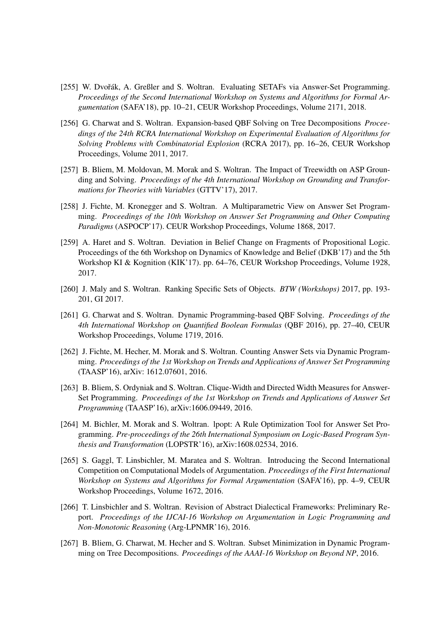- [255] W. Dvořák, A. Greßler and S. Woltran. Evaluating SETAFs via Answer-Set Programming. *Proceedings of the Second International Workshop on Systems and Algorithms for Formal Argumentation* (SAFA'18), pp. 10–21, CEUR Workshop Proceedings, Volume 2171, 2018.
- [256] G. Charwat and S. Woltran. Expansion-based QBF Solving on Tree Decompositions *Proceedings of the 24th RCRA International Workshop on Experimental Evaluation of Algorithms for Solving Problems with Combinatorial Explosion* (RCRA 2017), pp. 16–26, CEUR Workshop Proceedings, Volume 2011, 2017.
- [257] B. Bliem, M. Moldovan, M. Morak and S. Woltran. The Impact of Treewidth on ASP Grounding and Solving. *Proceedings of the 4th International Workshop on Grounding and Transformations for Theories with Variables* (GTTV'17), 2017.
- [258] J. Fichte, M. Kronegger and S. Woltran. A Multiparametric View on Answer Set Programming. *Proceedings of the 10th Workshop on Answer Set Programming and Other Computing Paradigms* (ASPOCP'17). CEUR Workshop Proceedings, Volume 1868, 2017.
- [259] A. Haret and S. Woltran. Deviation in Belief Change on Fragments of Propositional Logic. Proceedings of the 6th Workshop on Dynamics of Knowledge and Belief (DKB'17) and the 5th Workshop KI & Kognition (KIK'17). pp. 64–76, CEUR Workshop Proceedings, Volume 1928, 2017.
- [260] J. Maly and S. Woltran. Ranking Specific Sets of Objects. *BTW (Workshops)* 2017, pp. 193- 201, GI 2017.
- [261] G. Charwat and S. Woltran. Dynamic Programming-based QBF Solving. *Proceedings of the 4th International Workshop on Quantified Boolean Formulas* (QBF 2016), pp. 27–40, CEUR Workshop Proceedings, Volume 1719, 2016.
- [262] J. Fichte, M. Hecher, M. Morak and S. Woltran. Counting Answer Sets via Dynamic Programming. *Proceedings of the 1st Workshop on Trends and Applications of Answer Set Programming* (TAASP'16), arXiv: 1612.07601, 2016.
- [263] B. Bliem, S. Ordyniak and S. Woltran. Clique-Width and Directed Width Measures for Answer-Set Programming. *Proceedings of the 1st Workshop on Trends and Applications of Answer Set Programming* (TAASP'16), arXiv:1606.09449, 2016.
- [264] M. Bichler, M. Morak and S. Woltran. lpopt: A Rule Optimization Tool for Answer Set Programming. *Pre-proceedings of the 26th International Symposium on Logic-Based Program Synthesis and Transformation* (LOPSTR'16), arXiv:1608.02534, 2016.
- [265] S. Gaggl, T. Linsbichler, M. Maratea and S. Woltran. Introducing the Second International Competition on Computational Models of Argumentation. *Proceedings of the First International Workshop on Systems and Algorithms for Formal Argumentation* (SAFA'16), pp. 4–9, CEUR Workshop Proceedings, Volume 1672, 2016.
- [266] T. Linsbichler and S. Woltran. Revision of Abstract Dialectical Frameworks: Preliminary Report. *Proceedings of the IJCAI-16 Workshop on Argumentation in Logic Programming and Non-Monotonic Reasoning* (Arg-LPNMR'16), 2016.
- [267] B. Bliem, G. Charwat, M. Hecher and S. Woltran. Subset Minimization in Dynamic Programming on Tree Decompositions. *Proceedings of the AAAI-16 Workshop on Beyond NP*, 2016.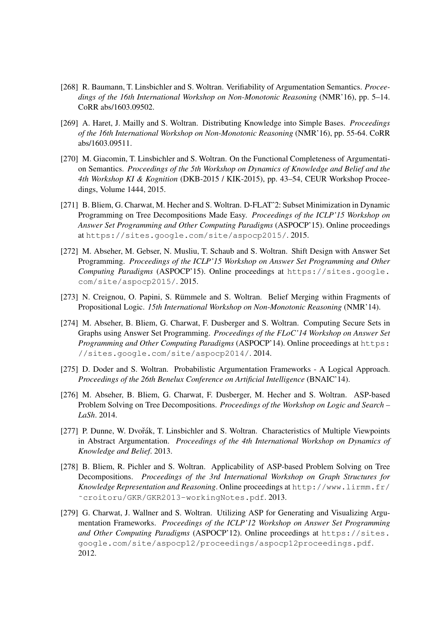- [268] R. Baumann, T. Linsbichler and S. Woltran. Verifiability of Argumentation Semantics. *Proceedings of the 16th International Workshop on Non-Monotonic Reasoning* (NMR'16), pp. 5–14. CoRR abs/1603.09502.
- [269] A. Haret, J. Mailly and S. Woltran. Distributing Knowledge into Simple Bases. *Proceedings of the 16th International Workshop on Non-Monotonic Reasoning* (NMR'16), pp. 55-64. CoRR abs/1603.09511.
- [270] M. Giacomin, T. Linsbichler and S. Woltran. On the Functional Completeness of Argumentation Semantics. *Proceedings of the 5th Workshop on Dynamics of Knowledge and Belief and the 4th Workshop KI & Kognition* (DKB-2015 / KIK-2015), pp. 43–54, CEUR Workshop Proceedings, Volume 1444, 2015.
- [271] B. Bliem, G. Charwat, M. Hecher and S. Woltran. D-FLATˆ2: Subset Minimization in Dynamic Programming on Tree Decompositions Made Easy. *Proceedings of the ICLP'15 Workshop on Answer Set Programming and Other Computing Paradigms* (ASPOCP'15). Online proceedings at https://sites.google.com/site/aspocp2015/. 2015.
- [272] M. Abseher, M. Gebser, N. Musliu, T. Schaub and S. Woltran. Shift Design with Answer Set Programming. *Proceedings of the ICLP'15 Workshop on Answer Set Programming and Other Computing Paradigms* (ASPOCP'15). Online proceedings at https://sites.google. com/site/aspocp2015/. 2015.
- [273] N. Creignou, O. Papini, S. Rümmele and S. Woltran. Belief Merging within Fragments of Propositional Logic. *15th International Workshop on Non-Monotonic Reasoning* (NMR'14).
- [274] M. Abseher, B. Bliem, G. Charwat, F. Dusberger and S. Woltran. Computing Secure Sets in Graphs using Answer Set Programming. *Proceedings of the FLoC'14 Workshop on Answer Set Programming and Other Computing Paradigms* (ASPOCP'14). Online proceedings at https: //sites.google.com/site/aspocp2014/. 2014.
- [275] D. Doder and S. Woltran. Probabilistic Argumentation Frameworks A Logical Approach. *Proceedings of the 26th Benelux Conference on Artificial Intelligence* (BNAIC'14).
- [276] M. Abseher, B. Bliem, G. Charwat, F. Dusberger, M. Hecher and S. Woltran. ASP-based Problem Solving on Tree Decompositions. *Proceedings of the Workshop on Logic and Search – LaSh*. 2014.
- [277] P. Dunne, W. Dvořák, T. Linsbichler and S. Woltran. Characteristics of Multiple Viewpoints in Abstract Argumentation. *Proceedings of the 4th International Workshop on Dynamics of Knowledge and Belief*. 2013.
- [278] B. Bliem, R. Pichler and S. Woltran. Applicability of ASP-based Problem Solving on Tree Decompositions. *Proceedings of the 3rd International Workshop on Graph Structures for Knowledge Representation and Reasoning*. Online proceedings at http://www.lirmm.fr/ ˜croitoru/GKR/GKR2013-workingNotes.pdf. 2013.
- [279] G. Charwat, J. Wallner and S. Woltran. Utilizing ASP for Generating and Visualizing Argumentation Frameworks. *Proceedings of the ICLP'12 Workshop on Answer Set Programming and Other Computing Paradigms* (ASPOCP'12). Online proceedings at https://sites. google.com/site/aspocp12/proceedings/aspocp12proceedings.pdf. 2012.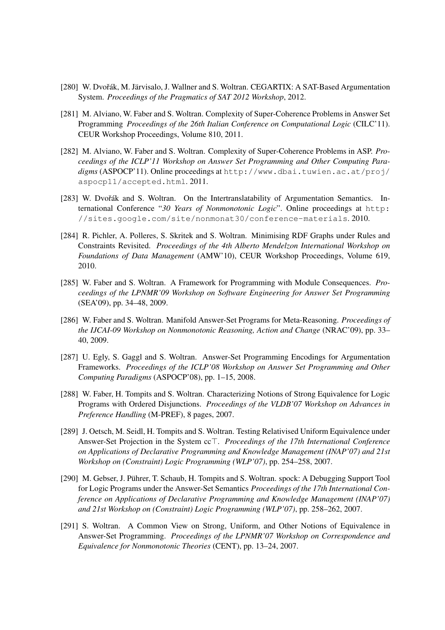- [280] W. Dvořák, M. Järvisalo, J. Wallner and S. Woltran. CEGARTIX: A SAT-Based Argumentation System. *Proceedings of the Pragmatics of SAT 2012 Workshop*, 2012.
- [281] M. Alviano, W. Faber and S. Woltran. Complexity of Super-Coherence Problems in Answer Set Programming *Proceedings of the 26th Italian Conference on Computational Logic* (CILC'11). CEUR Workshop Proceedings, Volume 810, 2011.
- [282] M. Alviano, W. Faber and S. Woltran. Complexity of Super-Coherence Problems in ASP. *Proceedings of the ICLP'11 Workshop on Answer Set Programming and Other Computing Paradigms* (ASPOCP'11). Online proceedings at http://www.dbai.tuwien.ac.at/proj/ aspocp11/accepted.html. 2011.
- [283] W. Dvořák and S. Woltran. On the Intertranslatability of Argumentation Semantics. International Conference "*30 Years of Nonmonotonic Logic*". Online proceedings at http: //sites.google.com/site/nonmonat30/conference-materials. 2010.
- [284] R. Pichler, A. Polleres, S. Skritek and S. Woltran. Minimising RDF Graphs under Rules and Constraints Revisited. *Proceedings of the 4th Alberto Mendelzon International Workshop on Foundations of Data Management* (AMW'10), CEUR Workshop Proceedings, Volume 619, 2010.
- [285] W. Faber and S. Woltran. A Framework for Programming with Module Consequences. *Proceedings of the LPNMR'09 Workshop on Software Engineering for Answer Set Programming* (SEA'09), pp. 34–48, 2009.
- [286] W. Faber and S. Woltran. Manifold Answer-Set Programs for Meta-Reasoning. *Proceedings of the IJCAI-09 Workshop on Nonmonotonic Reasoning, Action and Change* (NRAC'09), pp. 33– 40, 2009.
- [287] U. Egly, S. Gaggl and S. Woltran. Answer-Set Programming Encodings for Argumentation Frameworks. *Proceedings of the ICLP'08 Workshop on Answer Set Programming and Other Computing Paradigms* (ASPOCP'08), pp. 1–15, 2008.
- [288] W. Faber, H. Tompits and S. Woltran. Characterizing Notions of Strong Equivalence for Logic Programs with Ordered Disjunctions. *Proceedings of the VLDB'07 Workshop on Advances in Preference Handling* (M-PREF), 8 pages, 2007.
- [289] J. Oetsch, M. Seidl, H. Tompits and S. Woltran. Testing Relativised Uniform Equivalence under Answer-Set Projection in the System cc<sup>T</sup>. *Proceedings of the 17th International Conference on Applications of Declarative Programming and Knowledge Management (INAP'07) and 21st Workshop on (Constraint) Logic Programming (WLP'07)*, pp. 254–258, 2007.
- [290] M. Gebser, J. Pührer, T. Schaub, H. Tompits and S. Woltran. spock: A Debugging Support Tool for Logic Programs under the Answer-Set Semantics *Proceedings of the 17th International Conference on Applications of Declarative Programming and Knowledge Management (INAP'07) and 21st Workshop on (Constraint) Logic Programming (WLP'07)*, pp. 258–262, 2007.
- [291] S. Woltran. A Common View on Strong, Uniform, and Other Notions of Equivalence in Answer-Set Programming. *Proceedings of the LPNMR'07 Workshop on Correspondence and Equivalence for Nonmonotonic Theories* (CENT), pp. 13–24, 2007.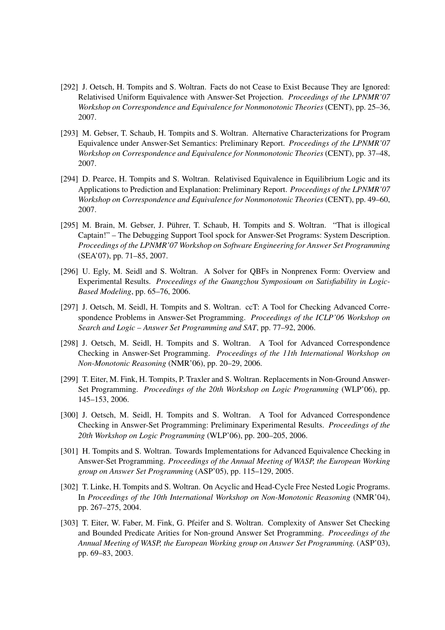- [292] J. Oetsch, H. Tompits and S. Woltran. Facts do not Cease to Exist Because They are Ignored: Relativised Uniform Equivalence with Answer-Set Projection. *Proceedings of the LPNMR'07 Workshop on Correspondence and Equivalence for Nonmonotonic Theories* (CENT), pp. 25–36, 2007.
- [293] M. Gebser, T. Schaub, H. Tompits and S. Woltran. Alternative Characterizations for Program Equivalence under Answer-Set Semantics: Preliminary Report. *Proceedings of the LPNMR'07 Workshop on Correspondence and Equivalence for Nonmonotonic Theories* (CENT), pp. 37–48, 2007.
- [294] D. Pearce, H. Tompits and S. Woltran. Relativised Equivalence in Equilibrium Logic and its Applications to Prediction and Explanation: Preliminary Report. *Proceedings of the LPNMR'07 Workshop on Correspondence and Equivalence for Nonmonotonic Theories* (CENT), pp. 49–60, 2007.
- [295] M. Brain, M. Gebser, J. Pührer, T. Schaub, H. Tompits and S. Woltran. "That is illogical Captain!" – The Debugging Support Tool spock for Answer-Set Programs: System Description. *Proceedings of the LPNMR'07 Workshop on Software Engineering for Answer Set Programming* (SEA'07), pp. 71–85, 2007.
- [296] U. Egly, M. Seidl and S. Woltran. A Solver for QBFs in Nonprenex Form: Overview and Experimental Results. *Proceedings of the Guangzhou Symposioum on Satisfiability in Logic-Based Modeling*, pp. 65–76, 2006.
- [297] J. Oetsch, M. Seidl, H. Tompits and S. Woltran. ccT: A Tool for Checking Advanced Correspondence Problems in Answer-Set Programming. *Proceedings of the ICLP'06 Workshop on Search and Logic – Answer Set Programming and SAT*, pp. 77–92, 2006.
- [298] J. Oetsch, M. Seidl, H. Tompits and S. Woltran. A Tool for Advanced Correspondence Checking in Answer-Set Programming. *Proceedings of the 11th International Workshop on Non-Monotonic Reasoning* (NMR'06), pp. 20–29, 2006.
- [299] T. Eiter, M. Fink, H. Tompits, P. Traxler and S. Woltran. Replacements in Non-Ground Answer-Set Programming. *Proceedings of the 20th Workshop on Logic Programming* (WLP'06), pp. 145–153, 2006.
- [300] J. Oetsch, M. Seidl, H. Tompits and S. Woltran. A Tool for Advanced Correspondence Checking in Answer-Set Programming: Preliminary Experimental Results. *Proceedings of the 20th Workshop on Logic Programming* (WLP'06), pp. 200–205, 2006.
- [301] H. Tompits and S. Woltran. Towards Implementations for Advanced Equivalence Checking in Answer-Set Programming. *Proceedings of the Annual Meeting of WASP, the European Working group on Answer Set Programming* (ASP'05), pp. 115–129, 2005.
- [302] T. Linke, H. Tompits and S. Woltran. On Acyclic and Head-Cycle Free Nested Logic Programs. In *Proceedings of the 10th International Workshop on Non-Monotonic Reasoning* (NMR'04), pp. 267–275, 2004.
- [303] T. Eiter, W. Faber, M. Fink, G. Pfeifer and S. Woltran. Complexity of Answer Set Checking and Bounded Predicate Arities for Non-ground Answer Set Programming. *Proceedings of the Annual Meeting of WASP, the European Working group on Answer Set Programming.* (ASP'03), pp. 69–83, 2003.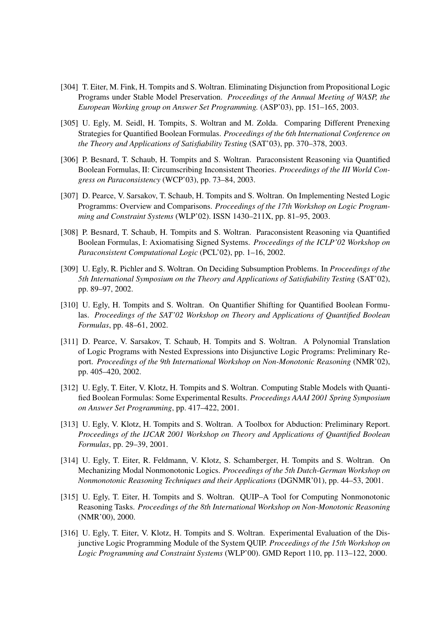- [304] T. Eiter, M. Fink, H. Tompits and S. Woltran. Eliminating Disjunction from Propositional Logic Programs under Stable Model Preservation. *Proceedings of the Annual Meeting of WASP, the European Working group on Answer Set Programming.* (ASP'03), pp. 151–165, 2003.
- [305] U. Egly, M. Seidl, H. Tompits, S. Woltran and M. Zolda. Comparing Different Prenexing Strategies for Quantified Boolean Formulas. *Proceedings of the 6th International Conference on the Theory and Applications of Satisfiability Testing* (SAT'03), pp. 370–378, 2003.
- [306] P. Besnard, T. Schaub, H. Tompits and S. Woltran. Paraconsistent Reasoning via Quantified Boolean Formulas, II: Circumscribing Inconsistent Theories. *Proceedings of the III World Congress on Paraconsistency* (WCP'03), pp. 73–84, 2003.
- [307] D. Pearce, V. Sarsakov, T. Schaub, H. Tompits and S. Woltran. On Implementing Nested Logic Programms: Overview and Comparisons. *Proceedings of the 17th Workshop on Logic Programming and Constraint Systems* (WLP'02). ISSN 1430–211X, pp. 81–95, 2003.
- [308] P. Besnard, T. Schaub, H. Tompits and S. Woltran. Paraconsistent Reasoning via Quantified Boolean Formulas, I: Axiomatising Signed Systems. *Proceedings of the ICLP'02 Workshop on Paraconsistent Computational Logic* (PCL'02), pp. 1–16, 2002.
- [309] U. Egly, R. Pichler and S. Woltran. On Deciding Subsumption Problems. In *Proceedings of the 5th International Symposium on the Theory and Applications of Satisfiability Testing* (SAT'02), pp. 89–97, 2002.
- [310] U. Egly, H. Tompits and S. Woltran. On Quantifier Shifting for Quantified Boolean Formulas. *Proceedings of the SAT'02 Workshop on Theory and Applications of Quantified Boolean Formulas*, pp. 48–61, 2002.
- [311] D. Pearce, V. Sarsakov, T. Schaub, H. Tompits and S. Woltran. A Polynomial Translation of Logic Programs with Nested Expressions into Disjunctive Logic Programs: Preliminary Report. *Proceedings of the 9th International Workshop on Non-Monotonic Reasoning* (NMR'02), pp. 405–420, 2002.
- [312] U. Egly, T. Eiter, V. Klotz, H. Tompits and S. Woltran. Computing Stable Models with Quantified Boolean Formulas: Some Experimental Results. *Proceedings AAAI 2001 Spring Symposium on Answer Set Programming*, pp. 417–422, 2001.
- [313] U. Egly, V. Klotz, H. Tompits and S. Woltran. A Toolbox for Abduction: Preliminary Report. *Proceedings of the IJCAR 2001 Workshop on Theory and Applications of Quantified Boolean Formulas*, pp. 29–39, 2001.
- [314] U. Egly, T. Eiter, R. Feldmann, V. Klotz, S. Schamberger, H. Tompits and S. Woltran. On Mechanizing Modal Nonmonotonic Logics. *Proceedings of the 5th Dutch-German Workshop on Nonmonotonic Reasoning Techniques and their Applications* (DGNMR'01), pp. 44–53, 2001.
- [315] U. Egly, T. Eiter, H. Tompits and S. Woltran. QUIP–A Tool for Computing Nonmonotonic Reasoning Tasks. *Proceedings of the 8th International Workshop on Non-Monotonic Reasoning* (NMR'00), 2000.
- [316] U. Egly, T. Eiter, V. Klotz, H. Tompits and S. Woltran. Experimental Evaluation of the Disjunctive Logic Programming Module of the System QUIP. *Proceedings of the 15th Workshop on Logic Programming and Constraint Systems* (WLP'00). GMD Report 110, pp. 113–122, 2000.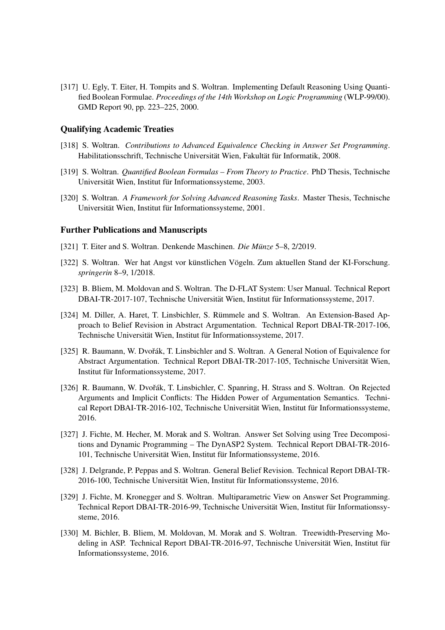[317] U. Egly, T. Eiter, H. Tompits and S. Woltran. Implementing Default Reasoning Using Quantified Boolean Formulae. *Proceedings of the 14th Workshop on Logic Programming* (WLP-99/00). GMD Report 90, pp. 223–225, 2000.

### Qualifying Academic Treaties

- [318] S. Woltran. *Contributions to Advanced Equivalence Checking in Answer Set Programming*. Habilitationsschrift, Technische Universität Wien, Fakultät für Informatik, 2008.
- [319] S. Woltran. *Quantified Boolean Formulas From Theory to Practice*. PhD Thesis, Technische Universität Wien, Institut für Informationssysteme, 2003.
- [320] S. Woltran. *A Framework for Solving Advanced Reasoning Tasks*. Master Thesis, Technische Universität Wien, Institut für Informationssysteme, 2001.

#### Further Publications and Manuscripts

- [321] T. Eiter and S. Woltran. Denkende Maschinen. *Die Münze* 5–8, 2/2019.
- [322] S. Woltran. Wer hat Angst vor künstlichen Vögeln. Zum aktuellen Stand der KI-Forschung. *springerin* 8–9, 1/2018.
- [323] B. Bliem, M. Moldovan and S. Woltran. The D-FLAT System: User Manual. Technical Report DBAI-TR-2017-107, Technische Universität Wien, Institut für Informationssysteme, 2017.
- [324] M. Diller, A. Haret, T. Linsbichler, S. Rümmele and S. Woltran. An Extension-Based Approach to Belief Revision in Abstract Argumentation. Technical Report DBAI-TR-2017-106, Technische Universität Wien, Institut für Informationssysteme, 2017.
- [325] R. Baumann, W. Dvořák, T. Linsbichler and S. Woltran. A General Notion of Equivalence for Abstract Argumentation. Technical Report DBAI-TR-2017-105, Technische Universität Wien, Institut für Informationssysteme, 2017.
- [326] R. Baumann, W. Dvořák, T. Linsbichler, C. Spanring, H. Strass and S. Woltran. On Rejected Arguments and Implicit Conflicts: The Hidden Power of Argumentation Semantics. Technical Report DBAI-TR-2016-102, Technische Universität Wien, Institut für Informationssysteme, 2016.
- [327] J. Fichte, M. Hecher, M. Morak and S. Woltran. Answer Set Solving using Tree Decompositions and Dynamic Programming – The DynASP2 System. Technical Report DBAI-TR-2016- 101, Technische Universität Wien, Institut für Informationssysteme, 2016.
- [328] J. Delgrande, P. Peppas and S. Woltran. General Belief Revision. Technical Report DBAI-TR-2016-100, Technische Universität Wien, Institut für Informationssysteme, 2016.
- [329] J. Fichte, M. Kronegger and S. Woltran. Multiparametric View on Answer Set Programming. Technical Report DBAI-TR-2016-99, Technische Universität Wien, Institut für Informationssysteme, 2016.
- [330] M. Bichler, B. Bliem, M. Moldovan, M. Morak and S. Woltran. Treewidth-Preserving Modeling in ASP. Technical Report DBAI-TR-2016-97, Technische Universität Wien, Institut für Informationssysteme, 2016.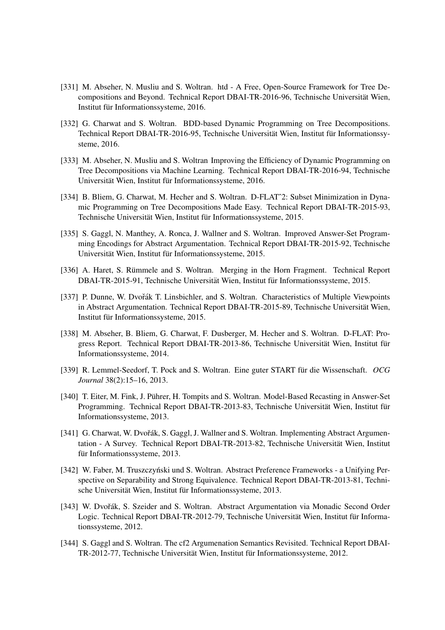- [331] M. Abseher, N. Musliu and S. Woltran. htd A Free, Open-Source Framework for Tree Decompositions and Beyond. Technical Report DBAI-TR-2016-96, Technische Universität Wien, Institut für Informationssysteme, 2016.
- [332] G. Charwat and S. Woltran. BDD-based Dynamic Programming on Tree Decompositions. Technical Report DBAI-TR-2016-95, Technische Universität Wien, Institut für Informationssysteme, 2016.
- [333] M. Abseher, N. Musliu and S. Woltran Improving the Efficiency of Dynamic Programming on Tree Decompositions via Machine Learning. Technical Report DBAI-TR-2016-94, Technische Universität Wien, Institut für Informationssysteme, 2016.
- [334] B. Bliem, G. Charwat, M. Hecher and S. Woltran. D-FLAT<sup> $\sim$ </sup>2: Subset Minimization in Dynamic Programming on Tree Decompositions Made Easy. Technical Report DBAI-TR-2015-93, Technische Universität Wien, Institut für Informationssysteme, 2015.
- [335] S. Gaggl, N. Manthey, A. Ronca, J. Wallner and S. Woltran. Improved Answer-Set Programming Encodings for Abstract Argumentation. Technical Report DBAI-TR-2015-92, Technische Universität Wien, Institut für Informationssysteme, 2015.
- [336] A. Haret, S. Rümmele and S. Woltran. Merging in the Horn Fragment. Technical Report DBAI-TR-2015-91, Technische Universität Wien, Institut für Informationssysteme, 2015.
- [337] P. Dunne, W. Dvořák T. Linsbichler, and S. Woltran. Characteristics of Multiple Viewpoints in Abstract Argumentation. Technical Report DBAI-TR-2015-89, Technische Universität Wien, Institut für Informationssysteme, 2015.
- [338] M. Abseher, B. Bliem, G. Charwat, F. Dusberger, M. Hecher and S. Woltran. D-FLAT: Progress Report. Technical Report DBAI-TR-2013-86, Technische Universität Wien, Institut für Informationssysteme, 2014.
- [339] R. Lemmel-Seedorf, T. Pock and S. Woltran. Eine guter START für die Wissenschaft. *OCG Journal* 38(2):15–16, 2013.
- [340] T. Eiter, M. Fink, J. Pührer, H. Tompits and S. Woltran. Model-Based Recasting in Answer-Set Programming. Technical Report DBAI-TR-2013-83, Technische Universität Wien, Institut für Informationssysteme, 2013.
- [341] G. Charwat, W. Dvořák, S. Gaggl, J. Wallner and S. Woltran. Implementing Abstract Argumentation - A Survey. Technical Report DBAI-TR-2013-82, Technische Universität Wien, Institut für Informationssysteme, 2013.
- [342] W. Faber, M. Truszczyński und S. Woltran. Abstract Preference Frameworks a Unifying Perspective on Separability and Strong Equivalence. Technical Report DBAI-TR-2013-81, Technische Universität Wien, Institut für Informationssysteme, 2013.
- [343] W. Dvořák, S. Szeider and S. Woltran. Abstract Argumentation via Monadic Second Order Logic. Technical Report DBAI-TR-2012-79, Technische Universität Wien, Institut für Informationssysteme, 2012.
- [344] S. Gaggl and S. Woltran. The cf2 Argumenation Semantics Revisited. Technical Report DBAI-TR-2012-77, Technische Universität Wien, Institut für Informationssysteme, 2012.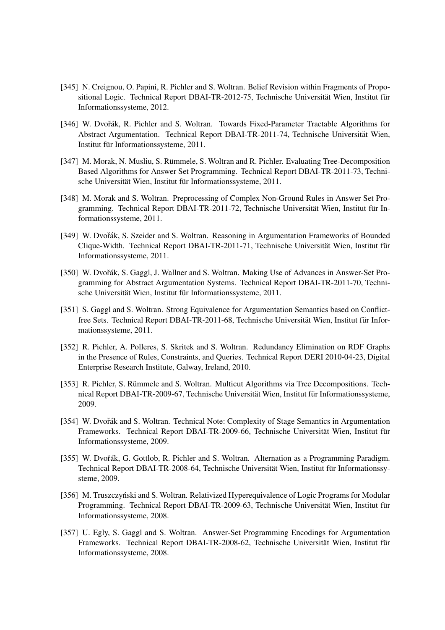- [345] N. Creignou, O. Papini, R. Pichler and S. Woltran. Belief Revision within Fragments of Propositional Logic. Technical Report DBAI-TR-2012-75, Technische Universität Wien, Institut für Informationssysteme, 2012.
- [346] W. Dvořák, R. Pichler and S. Woltran. Towards Fixed-Parameter Tractable Algorithms for Abstract Argumentation. Technical Report DBAI-TR-2011-74, Technische Universitat Wien, ¨ Institut für Informationssysteme, 2011.
- [347] M. Morak, N. Musliu, S. Rümmele, S. Woltran and R. Pichler. Evaluating Tree-Decomposition Based Algorithms for Answer Set Programming. Technical Report DBAI-TR-2011-73, Technische Universität Wien, Institut für Informationssysteme, 2011.
- [348] M. Morak and S. Woltran. Preprocessing of Complex Non-Ground Rules in Answer Set Programming. Technical Report DBAI-TR-2011-72, Technische Universität Wien, Institut für Informationssysteme, 2011.
- [349] W. Dvořák, S. Szeider and S. Woltran. Reasoning in Argumentation Frameworks of Bounded Clique-Width. Technical Report DBAI-TR-2011-71, Technische Universität Wien, Institut für Informationssysteme, 2011.
- [350] W. Dvořák, S. Gaggl, J. Wallner and S. Woltran. Making Use of Advances in Answer-Set Programming for Abstract Argumentation Systems. Technical Report DBAI-TR-2011-70, Technische Universität Wien, Institut für Informationssysteme, 2011.
- [351] S. Gaggl and S. Woltran. Strong Equivalence for Argumentation Semantics based on Conflictfree Sets. Technical Report DBAI-TR-2011-68, Technische Universität Wien, Institut für Informationssysteme, 2011.
- [352] R. Pichler, A. Polleres, S. Skritek and S. Woltran. Redundancy Elimination on RDF Graphs in the Presence of Rules, Constraints, and Queries. Technical Report DERI 2010-04-23, Digital Enterprise Research Institute, Galway, Ireland, 2010.
- [353] R. Pichler, S. Rümmele and S. Woltran. Multicut Algorithms via Tree Decompositions. Technical Report DBAI-TR-2009-67, Technische Universität Wien, Institut für Informationssysteme, 2009.
- [354] W. Dvořák and S. Woltran. Technical Note: Complexity of Stage Semantics in Argumentation Frameworks. Technical Report DBAI-TR-2009-66, Technische Universität Wien, Institut für Informationssysteme, 2009.
- [355] W. Dvořák, G. Gottlob, R. Pichler and S. Woltran. Alternation as a Programming Paradigm. Technical Report DBAI-TR-2008-64, Technische Universität Wien, Institut für Informationssysteme, 2009.
- [356] M. Truszczyński and S. Woltran. Relativized Hyperequivalence of Logic Programs for Modular Programming. Technical Report DBAI-TR-2009-63, Technische Universität Wien, Institut für Informationssysteme, 2008.
- [357] U. Egly, S. Gaggl and S. Woltran. Answer-Set Programming Encodings for Argumentation Frameworks. Technical Report DBAI-TR-2008-62, Technische Universität Wien, Institut für Informationssysteme, 2008.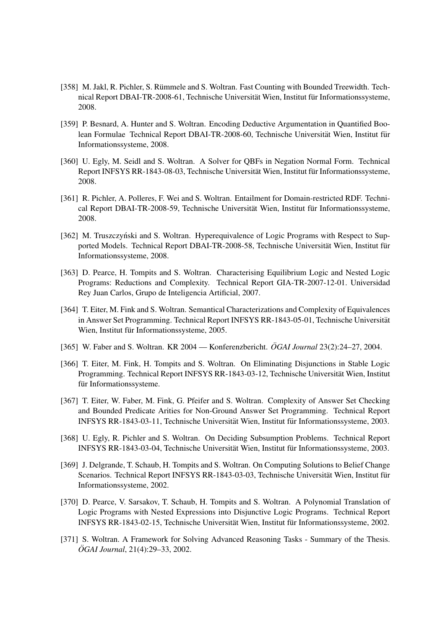- [358] M. Jakl, R. Pichler, S. Rümmele and S. Woltran. Fast Counting with Bounded Treewidth. Technical Report DBAI-TR-2008-61, Technische Universität Wien, Institut für Informationssysteme, 2008.
- [359] P. Besnard, A. Hunter and S. Woltran. Encoding Deductive Argumentation in Quantified Boolean Formulae Technical Report DBAI-TR-2008-60, Technische Universität Wien, Institut für Informationssysteme, 2008.
- [360] U. Egly, M. Seidl and S. Woltran. A Solver for QBFs in Negation Normal Form. Technical Report INFSYS RR-1843-08-03, Technische Universität Wien, Institut für Informationssysteme, 2008.
- [361] R. Pichler, A. Polleres, F. Wei and S. Woltran. Entailment for Domain-restricted RDF. Technical Report DBAI-TR-2008-59, Technische Universität Wien, Institut für Informationssysteme, 2008.
- [362] M. Truszczyński and S. Woltran. Hyperequivalence of Logic Programs with Respect to Supported Models. Technical Report DBAI-TR-2008-58, Technische Universität Wien, Institut für Informationssysteme, 2008.
- [363] D. Pearce, H. Tompits and S. Woltran. Characterising Equilibrium Logic and Nested Logic Programs: Reductions and Complexity. Technical Report GIA-TR-2007-12-01. Universidad Rey Juan Carlos, Grupo de Inteligencia Artificial, 2007.
- [364] T. Eiter, M. Fink and S. Woltran. Semantical Characterizations and Complexity of Equivalences in Answer Set Programming. Technical Report INFSYS RR-1843-05-01, Technische Universität Wien, Institut für Informationssysteme, 2005.
- [365] W. Faber and S. Woltran. KR 2004 Konferenzbericht.  $\ddot{O}GM$  Journal 23(2):24–27, 2004.
- [366] T. Eiter, M. Fink, H. Tompits and S. Woltran. On Eliminating Disjunctions in Stable Logic Programming. Technical Report INFSYS RR-1843-03-12, Technische Universitat Wien, Institut ¨ für Informationssysteme.
- [367] T. Eiter, W. Faber, M. Fink, G. Pfeifer and S. Woltran. Complexity of Answer Set Checking and Bounded Predicate Arities for Non-Ground Answer Set Programming. Technical Report INFSYS RR-1843-03-11, Technische Universität Wien, Institut für Informationssysteme, 2003.
- [368] U. Egly, R. Pichler and S. Woltran. On Deciding Subsumption Problems. Technical Report INFSYS RR-1843-03-04, Technische Universität Wien, Institut für Informationssysteme, 2003.
- [369] J. Delgrande, T. Schaub, H. Tompits and S. Woltran. On Computing Solutions to Belief Change Scenarios. Technical Report INFSYS RR-1843-03-03, Technische Universität Wien, Institut für Informationssysteme, 2002.
- [370] D. Pearce, V. Sarsakov, T. Schaub, H. Tompits and S. Woltran. A Polynomial Translation of Logic Programs with Nested Expressions into Disjunctive Logic Programs. Technical Report INFSYS RR-1843-02-15, Technische Universität Wien, Institut für Informationssysteme, 2002.
- [371] S. Woltran. A Framework for Solving Advanced Reasoning Tasks Summary of the Thesis. *ÖGAI Journal*, 21(4):29–33, 2002.